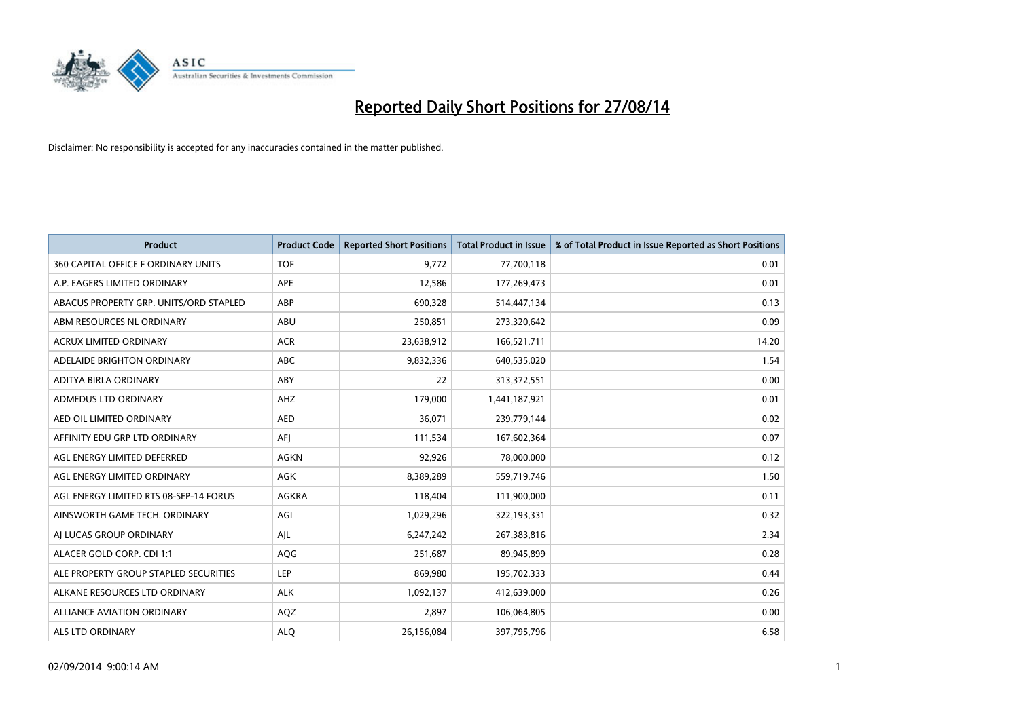

| <b>Product</b>                         | <b>Product Code</b> | <b>Reported Short Positions</b> | <b>Total Product in Issue</b> | % of Total Product in Issue Reported as Short Positions |
|----------------------------------------|---------------------|---------------------------------|-------------------------------|---------------------------------------------------------|
| 360 CAPITAL OFFICE F ORDINARY UNITS    | <b>TOF</b>          | 9,772                           | 77,700,118                    | 0.01                                                    |
| A.P. EAGERS LIMITED ORDINARY           | <b>APE</b>          | 12,586                          | 177,269,473                   | 0.01                                                    |
| ABACUS PROPERTY GRP. UNITS/ORD STAPLED | ABP                 | 690,328                         | 514,447,134                   | 0.13                                                    |
| ABM RESOURCES NL ORDINARY              | ABU                 | 250,851                         | 273,320,642                   | 0.09                                                    |
| <b>ACRUX LIMITED ORDINARY</b>          | <b>ACR</b>          | 23,638,912                      | 166,521,711                   | 14.20                                                   |
| ADELAIDE BRIGHTON ORDINARY             | <b>ABC</b>          | 9,832,336                       | 640,535,020                   | 1.54                                                    |
| ADITYA BIRLA ORDINARY                  | ABY                 | 22                              | 313,372,551                   | 0.00                                                    |
| ADMEDUS LTD ORDINARY                   | AHZ                 | 179,000                         | 1,441,187,921                 | 0.01                                                    |
| AED OIL LIMITED ORDINARY               | <b>AED</b>          | 36,071                          | 239,779,144                   | 0.02                                                    |
| AFFINITY EDU GRP LTD ORDINARY          | AFI                 | 111,534                         | 167,602,364                   | 0.07                                                    |
| AGL ENERGY LIMITED DEFERRED            | AGKN                | 92,926                          | 78,000,000                    | 0.12                                                    |
| AGL ENERGY LIMITED ORDINARY            | AGK                 | 8,389,289                       | 559,719,746                   | 1.50                                                    |
| AGL ENERGY LIMITED RTS 08-SEP-14 FORUS | AGKRA               | 118,404                         | 111,900,000                   | 0.11                                                    |
| AINSWORTH GAME TECH. ORDINARY          | AGI                 | 1,029,296                       | 322,193,331                   | 0.32                                                    |
| AI LUCAS GROUP ORDINARY                | AJL                 | 6,247,242                       | 267,383,816                   | 2.34                                                    |
| ALACER GOLD CORP. CDI 1:1              | AQG                 | 251,687                         | 89,945,899                    | 0.28                                                    |
| ALE PROPERTY GROUP STAPLED SECURITIES  | LEP                 | 869,980                         | 195,702,333                   | 0.44                                                    |
| ALKANE RESOURCES LTD ORDINARY          | <b>ALK</b>          | 1,092,137                       | 412,639,000                   | 0.26                                                    |
| <b>ALLIANCE AVIATION ORDINARY</b>      | AQZ                 | 2,897                           | 106,064,805                   | 0.00                                                    |
| <b>ALS LTD ORDINARY</b>                | <b>ALO</b>          | 26,156,084                      | 397,795,796                   | 6.58                                                    |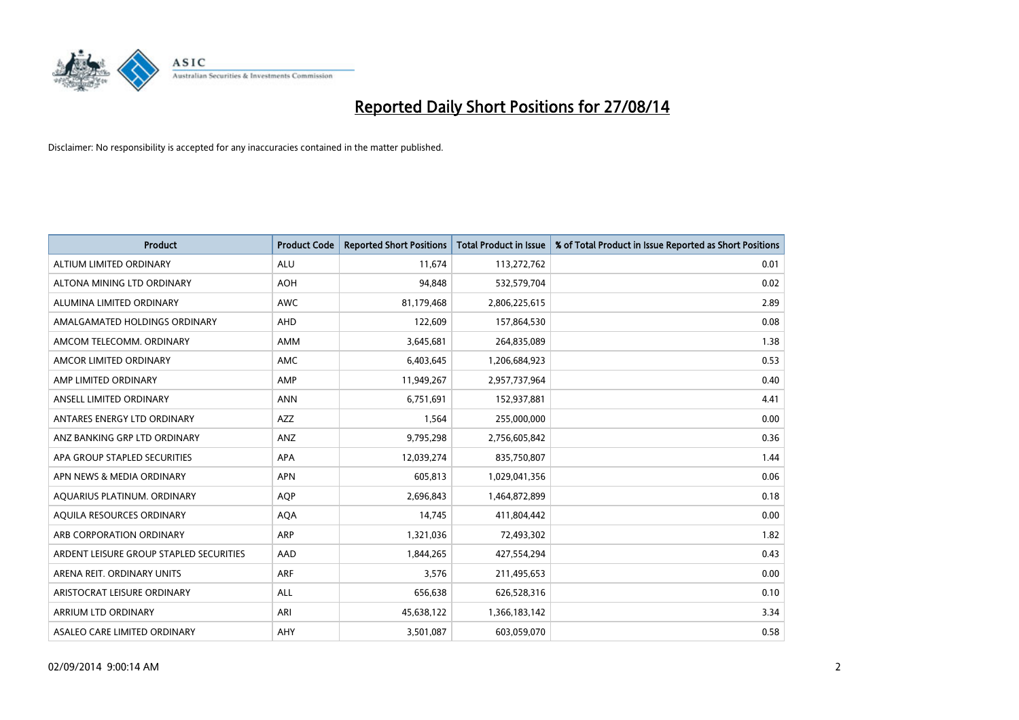

| <b>Product</b>                          | <b>Product Code</b> | <b>Reported Short Positions</b> | <b>Total Product in Issue</b> | % of Total Product in Issue Reported as Short Positions |
|-----------------------------------------|---------------------|---------------------------------|-------------------------------|---------------------------------------------------------|
| ALTIUM LIMITED ORDINARY                 | <b>ALU</b>          | 11,674                          | 113,272,762                   | 0.01                                                    |
| ALTONA MINING LTD ORDINARY              | <b>AOH</b>          | 94,848                          | 532,579,704                   | 0.02                                                    |
| ALUMINA LIMITED ORDINARY                | <b>AWC</b>          | 81,179,468                      | 2,806,225,615                 | 2.89                                                    |
| AMALGAMATED HOLDINGS ORDINARY           | AHD                 | 122,609                         | 157,864,530                   | 0.08                                                    |
| AMCOM TELECOMM, ORDINARY                | AMM                 | 3,645,681                       | 264,835,089                   | 1.38                                                    |
| AMCOR LIMITED ORDINARY                  | AMC                 | 6,403,645                       | 1,206,684,923                 | 0.53                                                    |
| AMP LIMITED ORDINARY                    | AMP                 | 11,949,267                      | 2,957,737,964                 | 0.40                                                    |
| ANSELL LIMITED ORDINARY                 | <b>ANN</b>          | 6,751,691                       | 152,937,881                   | 4.41                                                    |
| ANTARES ENERGY LTD ORDINARY             | AZZ                 | 1,564                           | 255,000,000                   | 0.00                                                    |
| ANZ BANKING GRP LTD ORDINARY            | ANZ                 | 9,795,298                       | 2,756,605,842                 | 0.36                                                    |
| APA GROUP STAPLED SECURITIES            | APA                 | 12,039,274                      | 835,750,807                   | 1.44                                                    |
| APN NEWS & MEDIA ORDINARY               | <b>APN</b>          | 605,813                         | 1,029,041,356                 | 0.06                                                    |
| AQUARIUS PLATINUM. ORDINARY             | <b>AOP</b>          | 2,696,843                       | 1,464,872,899                 | 0.18                                                    |
| AQUILA RESOURCES ORDINARY               | <b>AQA</b>          | 14,745                          | 411,804,442                   | 0.00                                                    |
| ARB CORPORATION ORDINARY                | <b>ARP</b>          | 1,321,036                       | 72,493,302                    | 1.82                                                    |
| ARDENT LEISURE GROUP STAPLED SECURITIES | AAD                 | 1,844,265                       | 427,554,294                   | 0.43                                                    |
| ARENA REIT. ORDINARY UNITS              | <b>ARF</b>          | 3,576                           | 211,495,653                   | 0.00                                                    |
| ARISTOCRAT LEISURE ORDINARY             | ALL                 | 656,638                         | 626,528,316                   | 0.10                                                    |
| ARRIUM LTD ORDINARY                     | ARI                 | 45,638,122                      | 1,366,183,142                 | 3.34                                                    |
| ASALEO CARE LIMITED ORDINARY            | AHY                 | 3,501,087                       | 603,059,070                   | 0.58                                                    |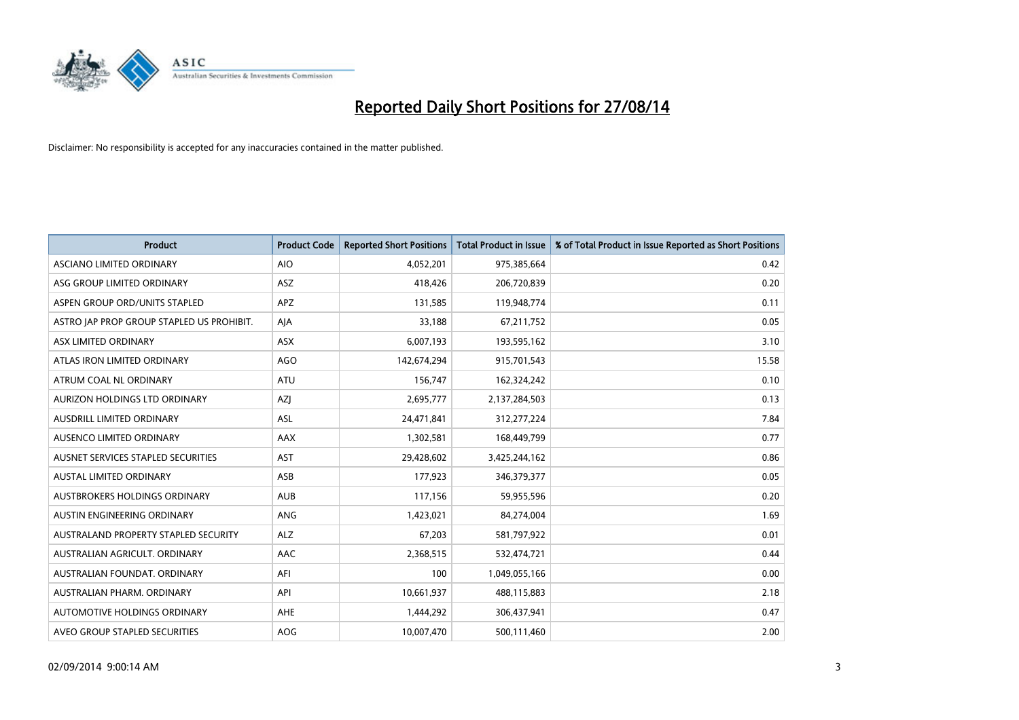

| <b>Product</b>                            | <b>Product Code</b> | <b>Reported Short Positions</b> | <b>Total Product in Issue</b> | % of Total Product in Issue Reported as Short Positions |
|-------------------------------------------|---------------------|---------------------------------|-------------------------------|---------------------------------------------------------|
| ASCIANO LIMITED ORDINARY                  | <b>AIO</b>          | 4,052,201                       | 975,385,664                   | 0.42                                                    |
| ASG GROUP LIMITED ORDINARY                | ASZ                 | 418,426                         | 206,720,839                   | 0.20                                                    |
| ASPEN GROUP ORD/UNITS STAPLED             | <b>APZ</b>          | 131,585                         | 119,948,774                   | 0.11                                                    |
| ASTRO JAP PROP GROUP STAPLED US PROHIBIT. | AJA                 | 33,188                          | 67,211,752                    | 0.05                                                    |
| ASX LIMITED ORDINARY                      | ASX                 | 6,007,193                       | 193,595,162                   | 3.10                                                    |
| ATLAS IRON LIMITED ORDINARY               | AGO                 | 142,674,294                     | 915,701,543                   | 15.58                                                   |
| ATRUM COAL NL ORDINARY                    | ATU                 | 156,747                         | 162,324,242                   | 0.10                                                    |
| AURIZON HOLDINGS LTD ORDINARY             | AZJ                 | 2,695,777                       | 2,137,284,503                 | 0.13                                                    |
| AUSDRILL LIMITED ORDINARY                 | <b>ASL</b>          | 24,471,841                      | 312,277,224                   | 7.84                                                    |
| AUSENCO LIMITED ORDINARY                  | AAX                 | 1,302,581                       | 168,449,799                   | 0.77                                                    |
| AUSNET SERVICES STAPLED SECURITIES        | <b>AST</b>          | 29,428,602                      | 3,425,244,162                 | 0.86                                                    |
| <b>AUSTAL LIMITED ORDINARY</b>            | ASB                 | 177,923                         | 346,379,377                   | 0.05                                                    |
| AUSTBROKERS HOLDINGS ORDINARY             | <b>AUB</b>          | 117,156                         | 59,955,596                    | 0.20                                                    |
| AUSTIN ENGINEERING ORDINARY               | ANG                 | 1,423,021                       | 84,274,004                    | 1.69                                                    |
| AUSTRALAND PROPERTY STAPLED SECURITY      | <b>ALZ</b>          | 67,203                          | 581,797,922                   | 0.01                                                    |
| AUSTRALIAN AGRICULT. ORDINARY             | AAC                 | 2,368,515                       | 532,474,721                   | 0.44                                                    |
| AUSTRALIAN FOUNDAT. ORDINARY              | AFI                 | 100                             | 1,049,055,166                 | 0.00                                                    |
| AUSTRALIAN PHARM. ORDINARY                | API                 | 10,661,937                      | 488,115,883                   | 2.18                                                    |
| AUTOMOTIVE HOLDINGS ORDINARY              | AHE                 | 1,444,292                       | 306,437,941                   | 0.47                                                    |
| AVEO GROUP STAPLED SECURITIES             | AOG                 | 10,007,470                      | 500,111,460                   | 2.00                                                    |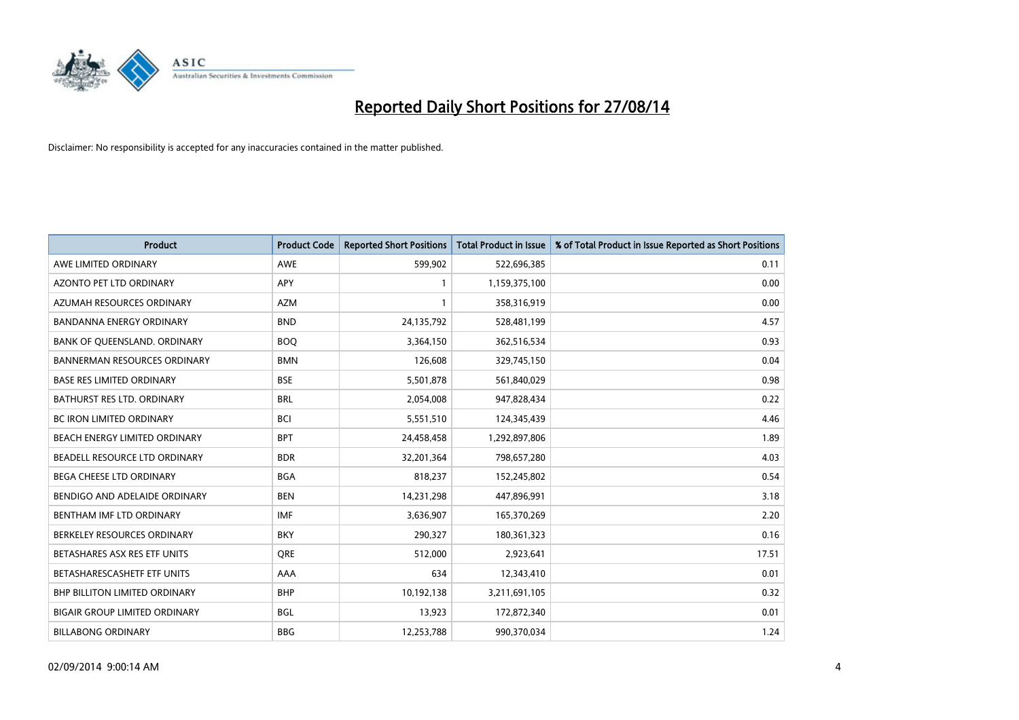

| <b>Product</b>                       | <b>Product Code</b> | <b>Reported Short Positions</b> | <b>Total Product in Issue</b> | % of Total Product in Issue Reported as Short Positions |
|--------------------------------------|---------------------|---------------------------------|-------------------------------|---------------------------------------------------------|
| AWE LIMITED ORDINARY                 | <b>AWE</b>          | 599,902                         | 522,696,385                   | 0.11                                                    |
| AZONTO PET LTD ORDINARY              | <b>APY</b>          | 1                               | 1,159,375,100                 | 0.00                                                    |
| AZUMAH RESOURCES ORDINARY            | <b>AZM</b>          | $\mathbf{1}$                    | 358,316,919                   | 0.00                                                    |
| BANDANNA ENERGY ORDINARY             | <b>BND</b>          | 24,135,792                      | 528,481,199                   | 4.57                                                    |
| BANK OF QUEENSLAND. ORDINARY         | <b>BOQ</b>          | 3,364,150                       | 362,516,534                   | 0.93                                                    |
| <b>BANNERMAN RESOURCES ORDINARY</b>  | <b>BMN</b>          | 126,608                         | 329,745,150                   | 0.04                                                    |
| <b>BASE RES LIMITED ORDINARY</b>     | <b>BSE</b>          | 5,501,878                       | 561,840,029                   | 0.98                                                    |
| <b>BATHURST RES LTD. ORDINARY</b>    | <b>BRL</b>          | 2,054,008                       | 947,828,434                   | 0.22                                                    |
| BC IRON LIMITED ORDINARY             | <b>BCI</b>          | 5,551,510                       | 124,345,439                   | 4.46                                                    |
| BEACH ENERGY LIMITED ORDINARY        | <b>BPT</b>          | 24,458,458                      | 1,292,897,806                 | 1.89                                                    |
| BEADELL RESOURCE LTD ORDINARY        | <b>BDR</b>          | 32,201,364                      | 798,657,280                   | 4.03                                                    |
| <b>BEGA CHEESE LTD ORDINARY</b>      | <b>BGA</b>          | 818,237                         | 152,245,802                   | 0.54                                                    |
| BENDIGO AND ADELAIDE ORDINARY        | <b>BEN</b>          | 14,231,298                      | 447,896,991                   | 3.18                                                    |
| BENTHAM IMF LTD ORDINARY             | <b>IMF</b>          | 3,636,907                       | 165,370,269                   | 2.20                                                    |
| BERKELEY RESOURCES ORDINARY          | <b>BKY</b>          | 290,327                         | 180,361,323                   | 0.16                                                    |
| BETASHARES ASX RES ETF UNITS         | <b>ORE</b>          | 512,000                         | 2,923,641                     | 17.51                                                   |
| BETASHARESCASHETF ETF UNITS          | AAA                 | 634                             | 12,343,410                    | 0.01                                                    |
| <b>BHP BILLITON LIMITED ORDINARY</b> | <b>BHP</b>          | 10,192,138                      | 3,211,691,105                 | 0.32                                                    |
| <b>BIGAIR GROUP LIMITED ORDINARY</b> | <b>BGL</b>          | 13,923                          | 172,872,340                   | 0.01                                                    |
| <b>BILLABONG ORDINARY</b>            | <b>BBG</b>          | 12,253,788                      | 990,370,034                   | 1.24                                                    |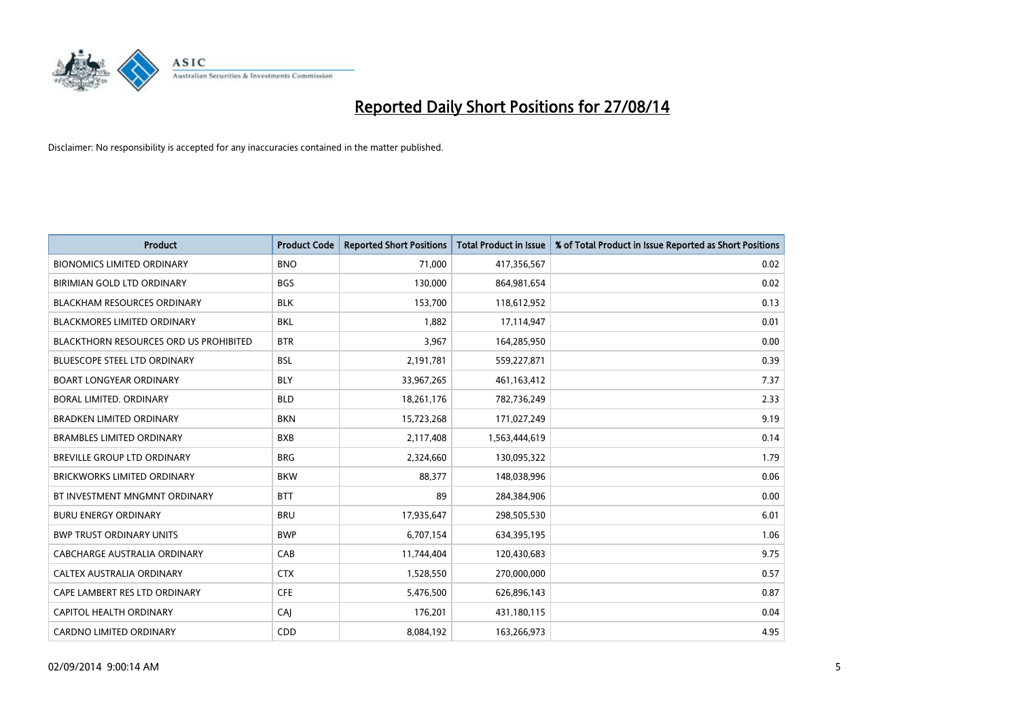

| <b>Product</b>                                | <b>Product Code</b> | <b>Reported Short Positions</b> | <b>Total Product in Issue</b> | % of Total Product in Issue Reported as Short Positions |
|-----------------------------------------------|---------------------|---------------------------------|-------------------------------|---------------------------------------------------------|
| <b>BIONOMICS LIMITED ORDINARY</b>             | <b>BNO</b>          | 71,000                          | 417,356,567                   | 0.02                                                    |
| BIRIMIAN GOLD LTD ORDINARY                    | <b>BGS</b>          | 130,000                         | 864,981,654                   | 0.02                                                    |
| <b>BLACKHAM RESOURCES ORDINARY</b>            | <b>BLK</b>          | 153,700                         | 118,612,952                   | 0.13                                                    |
| <b>BLACKMORES LIMITED ORDINARY</b>            | <b>BKL</b>          | 1,882                           | 17,114,947                    | 0.01                                                    |
| <b>BLACKTHORN RESOURCES ORD US PROHIBITED</b> | <b>BTR</b>          | 3,967                           | 164,285,950                   | 0.00                                                    |
| <b>BLUESCOPE STEEL LTD ORDINARY</b>           | <b>BSL</b>          | 2,191,781                       | 559,227,871                   | 0.39                                                    |
| <b>BOART LONGYEAR ORDINARY</b>                | <b>BLY</b>          | 33,967,265                      | 461,163,412                   | 7.37                                                    |
| BORAL LIMITED. ORDINARY                       | <b>BLD</b>          | 18,261,176                      | 782,736,249                   | 2.33                                                    |
| <b>BRADKEN LIMITED ORDINARY</b>               | <b>BKN</b>          | 15,723,268                      | 171,027,249                   | 9.19                                                    |
| <b>BRAMBLES LIMITED ORDINARY</b>              | <b>BXB</b>          | 2,117,408                       | 1,563,444,619                 | 0.14                                                    |
| BREVILLE GROUP LTD ORDINARY                   | <b>BRG</b>          | 2,324,660                       | 130,095,322                   | 1.79                                                    |
| <b>BRICKWORKS LIMITED ORDINARY</b>            | <b>BKW</b>          | 88,377                          | 148,038,996                   | 0.06                                                    |
| BT INVESTMENT MNGMNT ORDINARY                 | <b>BTT</b>          | 89                              | 284,384,906                   | 0.00                                                    |
| <b>BURU ENERGY ORDINARY</b>                   | <b>BRU</b>          | 17,935,647                      | 298,505,530                   | 6.01                                                    |
| <b>BWP TRUST ORDINARY UNITS</b>               | <b>BWP</b>          | 6,707,154                       | 634,395,195                   | 1.06                                                    |
| CABCHARGE AUSTRALIA ORDINARY                  | CAB                 | 11,744,404                      | 120,430,683                   | 9.75                                                    |
| CALTEX AUSTRALIA ORDINARY                     | <b>CTX</b>          | 1,528,550                       | 270,000,000                   | 0.57                                                    |
| CAPE LAMBERT RES LTD ORDINARY                 | <b>CFE</b>          | 5,476,500                       | 626,896,143                   | 0.87                                                    |
| CAPITOL HEALTH ORDINARY                       | <b>CAJ</b>          | 176,201                         | 431,180,115                   | 0.04                                                    |
| <b>CARDNO LIMITED ORDINARY</b>                | CDD                 | 8,084,192                       | 163,266,973                   | 4.95                                                    |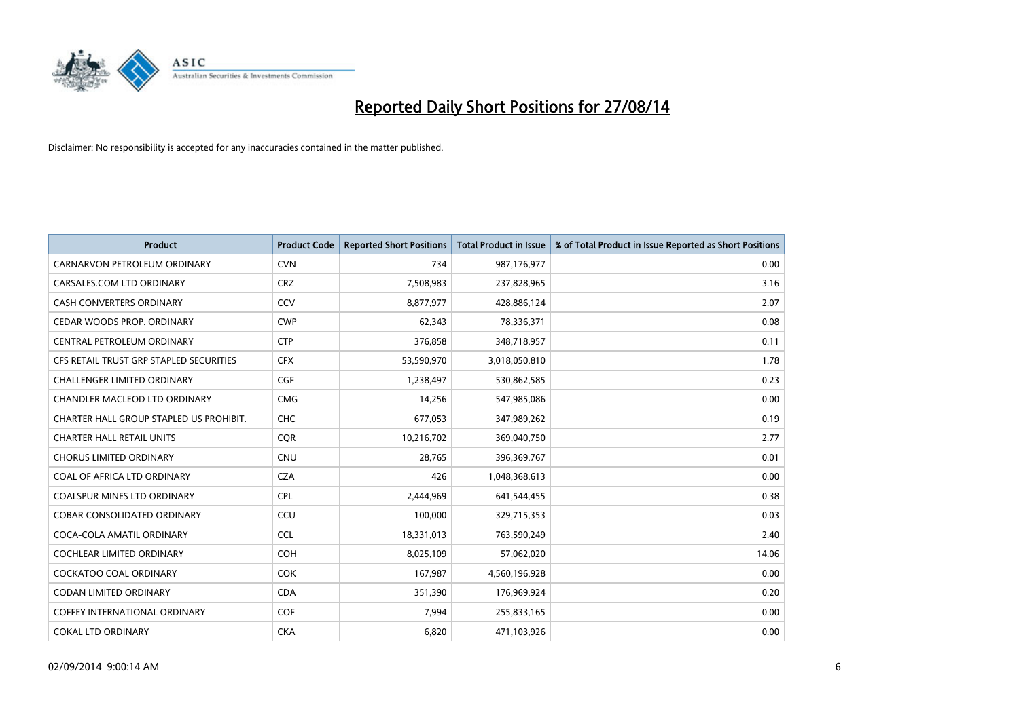

| <b>Product</b>                          | <b>Product Code</b> | <b>Reported Short Positions</b> | <b>Total Product in Issue</b> | % of Total Product in Issue Reported as Short Positions |
|-----------------------------------------|---------------------|---------------------------------|-------------------------------|---------------------------------------------------------|
| CARNARVON PETROLEUM ORDINARY            | <b>CVN</b>          | 734                             | 987,176,977                   | 0.00                                                    |
| CARSALES.COM LTD ORDINARY               | <b>CRZ</b>          | 7,508,983                       | 237,828,965                   | 3.16                                                    |
| <b>CASH CONVERTERS ORDINARY</b>         | CCV                 | 8,877,977                       | 428,886,124                   | 2.07                                                    |
| CEDAR WOODS PROP. ORDINARY              | <b>CWP</b>          | 62,343                          | 78,336,371                    | 0.08                                                    |
| CENTRAL PETROLEUM ORDINARY              | <b>CTP</b>          | 376,858                         | 348,718,957                   | 0.11                                                    |
| CFS RETAIL TRUST GRP STAPLED SECURITIES | <b>CFX</b>          | 53,590,970                      | 3,018,050,810                 | 1.78                                                    |
| <b>CHALLENGER LIMITED ORDINARY</b>      | <b>CGF</b>          | 1,238,497                       | 530,862,585                   | 0.23                                                    |
| CHANDLER MACLEOD LTD ORDINARY           | <b>CMG</b>          | 14,256                          | 547,985,086                   | 0.00                                                    |
| CHARTER HALL GROUP STAPLED US PROHIBIT. | <b>CHC</b>          | 677,053                         | 347,989,262                   | 0.19                                                    |
| <b>CHARTER HALL RETAIL UNITS</b>        | CQR                 | 10,216,702                      | 369,040,750                   | 2.77                                                    |
| <b>CHORUS LIMITED ORDINARY</b>          | <b>CNU</b>          | 28,765                          | 396,369,767                   | 0.01                                                    |
| COAL OF AFRICA LTD ORDINARY             | <b>CZA</b>          | 426                             | 1,048,368,613                 | 0.00                                                    |
| COALSPUR MINES LTD ORDINARY             | <b>CPL</b>          | 2,444,969                       | 641,544,455                   | 0.38                                                    |
| <b>COBAR CONSOLIDATED ORDINARY</b>      | CCU                 | 100,000                         | 329,715,353                   | 0.03                                                    |
| COCA-COLA AMATIL ORDINARY               | <b>CCL</b>          | 18,331,013                      | 763,590,249                   | 2.40                                                    |
| <b>COCHLEAR LIMITED ORDINARY</b>        | <b>COH</b>          | 8,025,109                       | 57,062,020                    | 14.06                                                   |
| COCKATOO COAL ORDINARY                  | COK                 | 167,987                         | 4,560,196,928                 | 0.00                                                    |
| <b>CODAN LIMITED ORDINARY</b>           | <b>CDA</b>          | 351,390                         | 176,969,924                   | 0.20                                                    |
| <b>COFFEY INTERNATIONAL ORDINARY</b>    | <b>COF</b>          | 7,994                           | 255,833,165                   | 0.00                                                    |
| <b>COKAL LTD ORDINARY</b>               | <b>CKA</b>          | 6,820                           | 471,103,926                   | 0.00                                                    |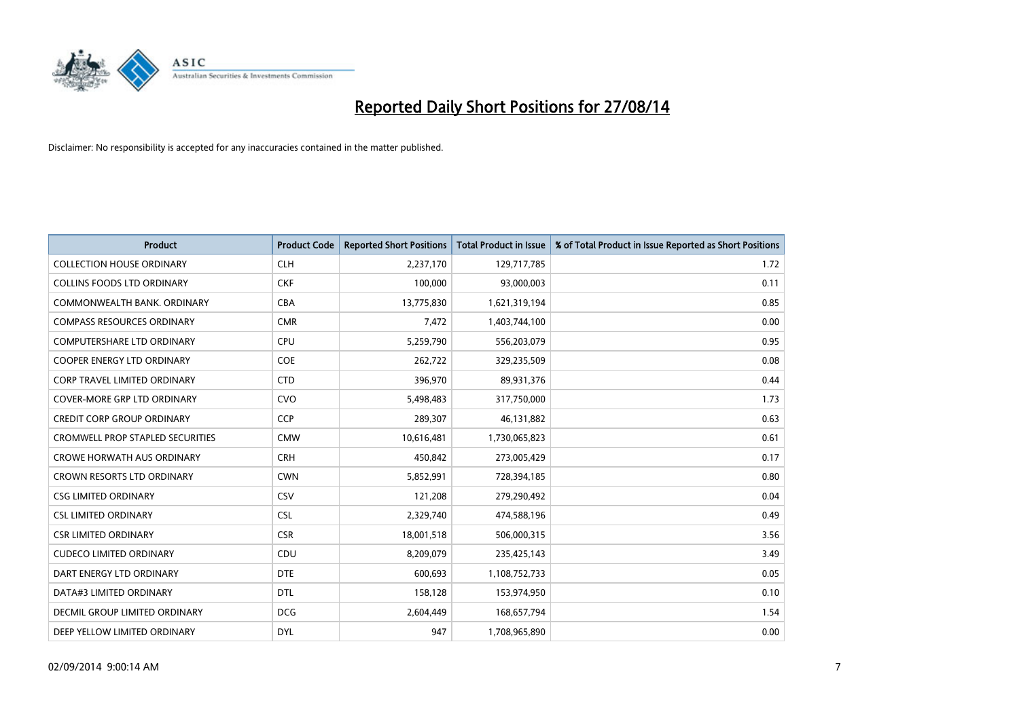

| <b>Product</b>                          | <b>Product Code</b> | <b>Reported Short Positions</b> | <b>Total Product in Issue</b> | % of Total Product in Issue Reported as Short Positions |
|-----------------------------------------|---------------------|---------------------------------|-------------------------------|---------------------------------------------------------|
| <b>COLLECTION HOUSE ORDINARY</b>        | <b>CLH</b>          | 2,237,170                       | 129,717,785                   | 1.72                                                    |
| <b>COLLINS FOODS LTD ORDINARY</b>       | <b>CKF</b>          | 100,000                         | 93,000,003                    | 0.11                                                    |
| COMMONWEALTH BANK, ORDINARY             | <b>CBA</b>          | 13,775,830                      | 1,621,319,194                 | 0.85                                                    |
| <b>COMPASS RESOURCES ORDINARY</b>       | <b>CMR</b>          | 7,472                           | 1,403,744,100                 | 0.00                                                    |
| <b>COMPUTERSHARE LTD ORDINARY</b>       | <b>CPU</b>          | 5,259,790                       | 556,203,079                   | 0.95                                                    |
| <b>COOPER ENERGY LTD ORDINARY</b>       | <b>COE</b>          | 262,722                         | 329,235,509                   | 0.08                                                    |
| <b>CORP TRAVEL LIMITED ORDINARY</b>     | <b>CTD</b>          | 396,970                         | 89,931,376                    | 0.44                                                    |
| COVER-MORE GRP LTD ORDINARY             | <b>CVO</b>          | 5,498,483                       | 317,750,000                   | 1.73                                                    |
| <b>CREDIT CORP GROUP ORDINARY</b>       | <b>CCP</b>          | 289,307                         | 46,131,882                    | 0.63                                                    |
| <b>CROMWELL PROP STAPLED SECURITIES</b> | <b>CMW</b>          | 10,616,481                      | 1,730,065,823                 | 0.61                                                    |
| <b>CROWE HORWATH AUS ORDINARY</b>       | <b>CRH</b>          | 450,842                         | 273,005,429                   | 0.17                                                    |
| <b>CROWN RESORTS LTD ORDINARY</b>       | <b>CWN</b>          | 5,852,991                       | 728,394,185                   | 0.80                                                    |
| <b>CSG LIMITED ORDINARY</b>             | CSV                 | 121,208                         | 279,290,492                   | 0.04                                                    |
| <b>CSL LIMITED ORDINARY</b>             | <b>CSL</b>          | 2,329,740                       | 474,588,196                   | 0.49                                                    |
| <b>CSR LIMITED ORDINARY</b>             | <b>CSR</b>          | 18,001,518                      | 506,000,315                   | 3.56                                                    |
| <b>CUDECO LIMITED ORDINARY</b>          | <b>CDU</b>          | 8,209,079                       | 235,425,143                   | 3.49                                                    |
| DART ENERGY LTD ORDINARY                | <b>DTE</b>          | 600,693                         | 1,108,752,733                 | 0.05                                                    |
| DATA#3 LIMITED ORDINARY                 | DTL                 | 158,128                         | 153,974,950                   | 0.10                                                    |
| DECMIL GROUP LIMITED ORDINARY           | <b>DCG</b>          | 2,604,449                       | 168,657,794                   | 1.54                                                    |
| DEEP YELLOW LIMITED ORDINARY            | <b>DYL</b>          | 947                             | 1,708,965,890                 | 0.00                                                    |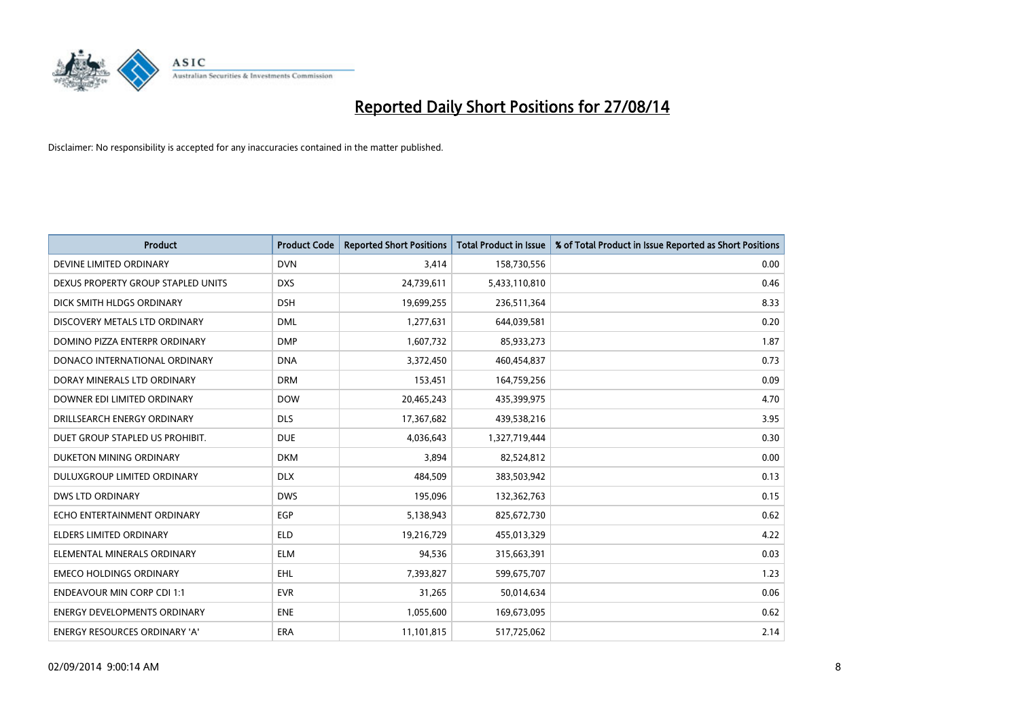

| <b>Product</b>                      | <b>Product Code</b> | <b>Reported Short Positions</b> | <b>Total Product in Issue</b> | % of Total Product in Issue Reported as Short Positions |
|-------------------------------------|---------------------|---------------------------------|-------------------------------|---------------------------------------------------------|
| DEVINE LIMITED ORDINARY             | <b>DVN</b>          | 3,414                           | 158,730,556                   | 0.00                                                    |
| DEXUS PROPERTY GROUP STAPLED UNITS  | <b>DXS</b>          | 24,739,611                      | 5,433,110,810                 | 0.46                                                    |
| DICK SMITH HLDGS ORDINARY           | <b>DSH</b>          | 19,699,255                      | 236,511,364                   | 8.33                                                    |
| DISCOVERY METALS LTD ORDINARY       | <b>DML</b>          | 1,277,631                       | 644,039,581                   | 0.20                                                    |
| DOMINO PIZZA ENTERPR ORDINARY       | <b>DMP</b>          | 1,607,732                       | 85,933,273                    | 1.87                                                    |
| DONACO INTERNATIONAL ORDINARY       | <b>DNA</b>          | 3,372,450                       | 460,454,837                   | 0.73                                                    |
| DORAY MINERALS LTD ORDINARY         | <b>DRM</b>          | 153,451                         | 164,759,256                   | 0.09                                                    |
| DOWNER EDI LIMITED ORDINARY         | <b>DOW</b>          | 20,465,243                      | 435,399,975                   | 4.70                                                    |
| DRILLSEARCH ENERGY ORDINARY         | <b>DLS</b>          | 17,367,682                      | 439,538,216                   | 3.95                                                    |
| DUET GROUP STAPLED US PROHIBIT.     | <b>DUE</b>          | 4,036,643                       | 1,327,719,444                 | 0.30                                                    |
| DUKETON MINING ORDINARY             | <b>DKM</b>          | 3,894                           | 82,524,812                    | 0.00                                                    |
| <b>DULUXGROUP LIMITED ORDINARY</b>  | <b>DLX</b>          | 484,509                         | 383,503,942                   | 0.13                                                    |
| <b>DWS LTD ORDINARY</b>             | <b>DWS</b>          | 195,096                         | 132,362,763                   | 0.15                                                    |
| ECHO ENTERTAINMENT ORDINARY         | EGP                 | 5,138,943                       | 825,672,730                   | 0.62                                                    |
| <b>ELDERS LIMITED ORDINARY</b>      | <b>ELD</b>          | 19,216,729                      | 455,013,329                   | 4.22                                                    |
| ELEMENTAL MINERALS ORDINARY         | <b>ELM</b>          | 94,536                          | 315,663,391                   | 0.03                                                    |
| <b>EMECO HOLDINGS ORDINARY</b>      | <b>EHL</b>          | 7,393,827                       | 599,675,707                   | 1.23                                                    |
| <b>ENDEAVOUR MIN CORP CDI 1:1</b>   | <b>EVR</b>          | 31,265                          | 50,014,634                    | 0.06                                                    |
| <b>ENERGY DEVELOPMENTS ORDINARY</b> | <b>ENE</b>          | 1,055,600                       | 169,673,095                   | 0.62                                                    |
| ENERGY RESOURCES ORDINARY 'A'       | ERA                 | 11,101,815                      | 517,725,062                   | 2.14                                                    |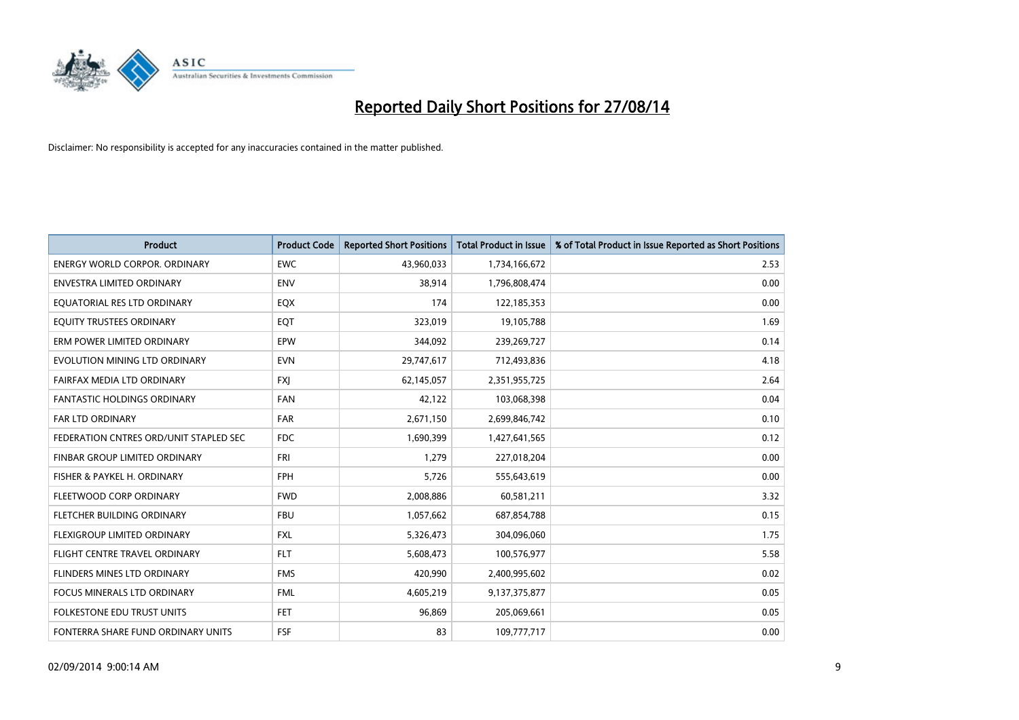

| <b>Product</b>                         | <b>Product Code</b> | <b>Reported Short Positions</b> | <b>Total Product in Issue</b> | % of Total Product in Issue Reported as Short Positions |
|----------------------------------------|---------------------|---------------------------------|-------------------------------|---------------------------------------------------------|
| <b>ENERGY WORLD CORPOR, ORDINARY</b>   | <b>EWC</b>          | 43,960,033                      | 1,734,166,672                 | 2.53                                                    |
| <b>ENVESTRA LIMITED ORDINARY</b>       | <b>ENV</b>          | 38,914                          | 1,796,808,474                 | 0.00                                                    |
| EQUATORIAL RES LTD ORDINARY            | EQX                 | 174                             | 122,185,353                   | 0.00                                                    |
| EQUITY TRUSTEES ORDINARY               | EQT                 | 323,019                         | 19,105,788                    | 1.69                                                    |
| ERM POWER LIMITED ORDINARY             | EPW                 | 344,092                         | 239,269,727                   | 0.14                                                    |
| EVOLUTION MINING LTD ORDINARY          | <b>EVN</b>          | 29,747,617                      | 712,493,836                   | 4.18                                                    |
| FAIRFAX MEDIA LTD ORDINARY             | <b>FXI</b>          | 62,145,057                      | 2,351,955,725                 | 2.64                                                    |
| FANTASTIC HOLDINGS ORDINARY            | <b>FAN</b>          | 42,122                          | 103,068,398                   | 0.04                                                    |
| <b>FAR LTD ORDINARY</b>                | <b>FAR</b>          | 2,671,150                       | 2,699,846,742                 | 0.10                                                    |
| FEDERATION CNTRES ORD/UNIT STAPLED SEC | <b>FDC</b>          | 1,690,399                       | 1,427,641,565                 | 0.12                                                    |
| FINBAR GROUP LIMITED ORDINARY          | <b>FRI</b>          | 1,279                           | 227,018,204                   | 0.00                                                    |
| FISHER & PAYKEL H. ORDINARY            | <b>FPH</b>          | 5,726                           | 555,643,619                   | 0.00                                                    |
| FLEETWOOD CORP ORDINARY                | <b>FWD</b>          | 2,008,886                       | 60,581,211                    | 3.32                                                    |
| FLETCHER BUILDING ORDINARY             | <b>FBU</b>          | 1,057,662                       | 687,854,788                   | 0.15                                                    |
| FLEXIGROUP LIMITED ORDINARY            | <b>FXL</b>          | 5,326,473                       | 304,096,060                   | 1.75                                                    |
| FLIGHT CENTRE TRAVEL ORDINARY          | <b>FLT</b>          | 5,608,473                       | 100,576,977                   | 5.58                                                    |
| FLINDERS MINES LTD ORDINARY            | <b>FMS</b>          | 420,990                         | 2,400,995,602                 | 0.02                                                    |
| <b>FOCUS MINERALS LTD ORDINARY</b>     | <b>FML</b>          | 4,605,219                       | 9,137,375,877                 | 0.05                                                    |
| <b>FOLKESTONE EDU TRUST UNITS</b>      | <b>FET</b>          | 96,869                          | 205,069,661                   | 0.05                                                    |
| FONTERRA SHARE FUND ORDINARY UNITS     | <b>FSF</b>          | 83                              | 109,777,717                   | 0.00                                                    |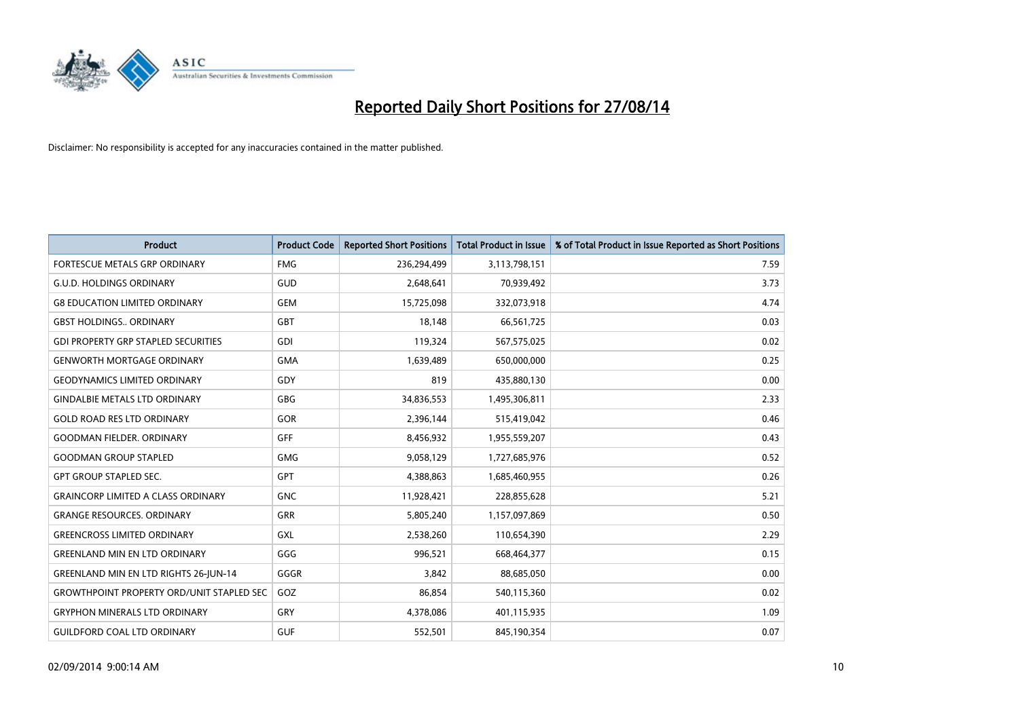

| <b>Product</b>                                   | <b>Product Code</b> | <b>Reported Short Positions</b> | <b>Total Product in Issue</b> | % of Total Product in Issue Reported as Short Positions |
|--------------------------------------------------|---------------------|---------------------------------|-------------------------------|---------------------------------------------------------|
| FORTESCUE METALS GRP ORDINARY                    | <b>FMG</b>          | 236,294,499                     | 3,113,798,151                 | 7.59                                                    |
| <b>G.U.D. HOLDINGS ORDINARY</b>                  | GUD                 | 2,648,641                       | 70,939,492                    | 3.73                                                    |
| <b>G8 EDUCATION LIMITED ORDINARY</b>             | <b>GEM</b>          | 15,725,098                      | 332,073,918                   | 4.74                                                    |
| <b>GBST HOLDINGS., ORDINARY</b>                  | GBT                 | 18.148                          | 66,561,725                    | 0.03                                                    |
| <b>GDI PROPERTY GRP STAPLED SECURITIES</b>       | GDI                 | 119,324                         | 567,575,025                   | 0.02                                                    |
| <b>GENWORTH MORTGAGE ORDINARY</b>                | <b>GMA</b>          | 1,639,489                       | 650,000,000                   | 0.25                                                    |
| <b>GEODYNAMICS LIMITED ORDINARY</b>              | GDY                 | 819                             | 435,880,130                   | 0.00                                                    |
| <b>GINDALBIE METALS LTD ORDINARY</b>             | GBG                 | 34,836,553                      | 1,495,306,811                 | 2.33                                                    |
| <b>GOLD ROAD RES LTD ORDINARY</b>                | <b>GOR</b>          | 2,396,144                       | 515,419,042                   | 0.46                                                    |
| <b>GOODMAN FIELDER, ORDINARY</b>                 | GFF                 | 8,456,932                       | 1,955,559,207                 | 0.43                                                    |
| <b>GOODMAN GROUP STAPLED</b>                     | <b>GMG</b>          | 9,058,129                       | 1,727,685,976                 | 0.52                                                    |
| <b>GPT GROUP STAPLED SEC.</b>                    | <b>GPT</b>          | 4,388,863                       | 1,685,460,955                 | 0.26                                                    |
| <b>GRAINCORP LIMITED A CLASS ORDINARY</b>        | <b>GNC</b>          | 11,928,421                      | 228,855,628                   | 5.21                                                    |
| <b>GRANGE RESOURCES, ORDINARY</b>                | <b>GRR</b>          | 5,805,240                       | 1,157,097,869                 | 0.50                                                    |
| <b>GREENCROSS LIMITED ORDINARY</b>               | GXL                 | 2,538,260                       | 110,654,390                   | 2.29                                                    |
| <b>GREENLAND MIN EN LTD ORDINARY</b>             | GGG                 | 996,521                         | 668,464,377                   | 0.15                                                    |
| <b>GREENLAND MIN EN LTD RIGHTS 26-JUN-14</b>     | GGGR                | 3,842                           | 88,685,050                    | 0.00                                                    |
| <b>GROWTHPOINT PROPERTY ORD/UNIT STAPLED SEC</b> | GOZ                 | 86.854                          | 540,115,360                   | 0.02                                                    |
| <b>GRYPHON MINERALS LTD ORDINARY</b>             | <b>GRY</b>          | 4,378,086                       | 401,115,935                   | 1.09                                                    |
| <b>GUILDFORD COAL LTD ORDINARY</b>               | <b>GUF</b>          | 552,501                         | 845,190,354                   | 0.07                                                    |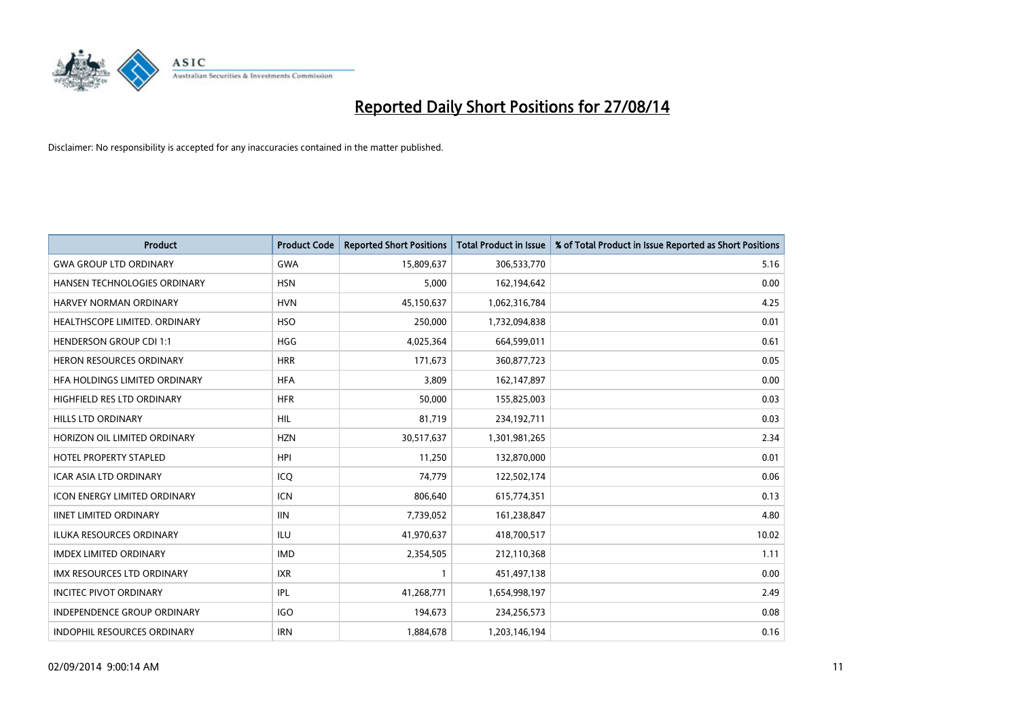

| <b>Product</b>                      | <b>Product Code</b> | <b>Reported Short Positions</b> | <b>Total Product in Issue</b> | % of Total Product in Issue Reported as Short Positions |
|-------------------------------------|---------------------|---------------------------------|-------------------------------|---------------------------------------------------------|
| <b>GWA GROUP LTD ORDINARY</b>       | <b>GWA</b>          | 15,809,637                      | 306,533,770                   | 5.16                                                    |
| HANSEN TECHNOLOGIES ORDINARY        | <b>HSN</b>          | 5,000                           | 162,194,642                   | 0.00                                                    |
| HARVEY NORMAN ORDINARY              | <b>HVN</b>          | 45,150,637                      | 1,062,316,784                 | 4.25                                                    |
| HEALTHSCOPE LIMITED. ORDINARY       | <b>HSO</b>          | 250,000                         | 1,732,094,838                 | 0.01                                                    |
| <b>HENDERSON GROUP CDI 1:1</b>      | <b>HGG</b>          | 4,025,364                       | 664,599,011                   | 0.61                                                    |
| <b>HERON RESOURCES ORDINARY</b>     | <b>HRR</b>          | 171,673                         | 360,877,723                   | 0.05                                                    |
| HFA HOLDINGS LIMITED ORDINARY       | <b>HFA</b>          | 3.809                           | 162,147,897                   | 0.00                                                    |
| <b>HIGHFIELD RES LTD ORDINARY</b>   | <b>HFR</b>          | 50,000                          | 155,825,003                   | 0.03                                                    |
| HILLS LTD ORDINARY                  | <b>HIL</b>          | 81,719                          | 234,192,711                   | 0.03                                                    |
| HORIZON OIL LIMITED ORDINARY        | <b>HZN</b>          | 30,517,637                      | 1,301,981,265                 | 2.34                                                    |
| <b>HOTEL PROPERTY STAPLED</b>       | <b>HPI</b>          | 11,250                          | 132,870,000                   | 0.01                                                    |
| <b>ICAR ASIA LTD ORDINARY</b>       | ICQ                 | 74,779                          | 122,502,174                   | 0.06                                                    |
| <b>ICON ENERGY LIMITED ORDINARY</b> | <b>ICN</b>          | 806,640                         | 615,774,351                   | 0.13                                                    |
| <b>IINET LIMITED ORDINARY</b>       | <b>IIN</b>          | 7,739,052                       | 161,238,847                   | 4.80                                                    |
| ILUKA RESOURCES ORDINARY            | ILU                 | 41,970,637                      | 418,700,517                   | 10.02                                                   |
| <b>IMDEX LIMITED ORDINARY</b>       | <b>IMD</b>          | 2,354,505                       | 212,110,368                   | 1.11                                                    |
| <b>IMX RESOURCES LTD ORDINARY</b>   | <b>IXR</b>          | $\mathbf{1}$                    | 451,497,138                   | 0.00                                                    |
| <b>INCITEC PIVOT ORDINARY</b>       | IPL                 | 41,268,771                      | 1,654,998,197                 | 2.49                                                    |
| <b>INDEPENDENCE GROUP ORDINARY</b>  | <b>IGO</b>          | 194,673                         | 234,256,573                   | 0.08                                                    |
| <b>INDOPHIL RESOURCES ORDINARY</b>  | <b>IRN</b>          | 1,884,678                       | 1,203,146,194                 | 0.16                                                    |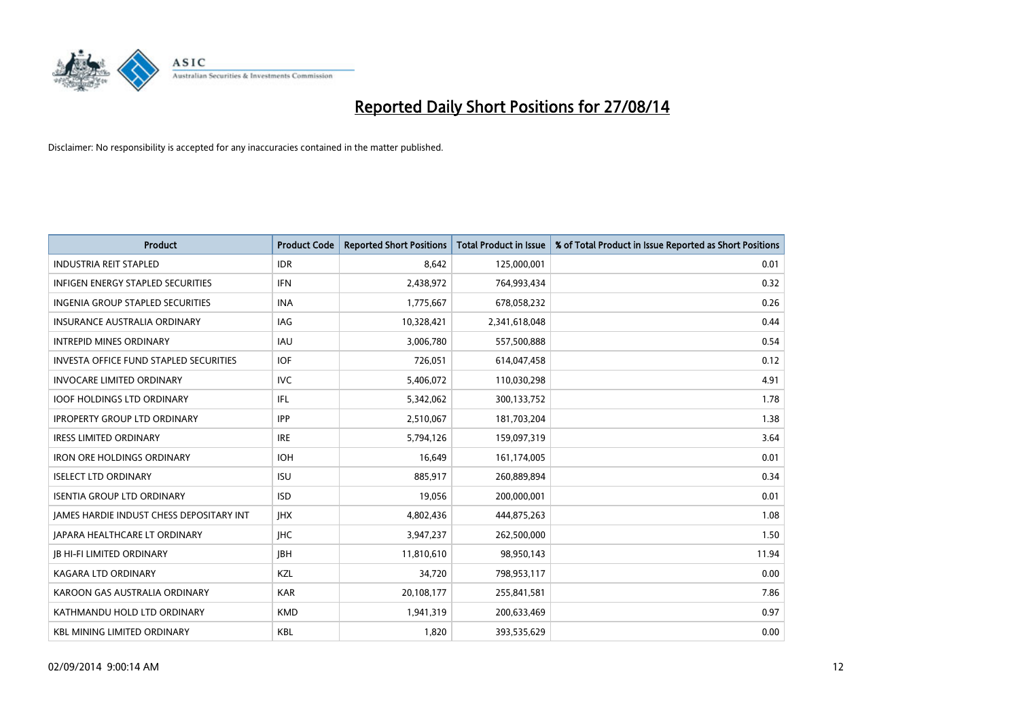

| <b>Product</b>                                | <b>Product Code</b> | <b>Reported Short Positions</b> | <b>Total Product in Issue</b> | % of Total Product in Issue Reported as Short Positions |
|-----------------------------------------------|---------------------|---------------------------------|-------------------------------|---------------------------------------------------------|
| <b>INDUSTRIA REIT STAPLED</b>                 | <b>IDR</b>          | 8,642                           | 125,000,001                   | 0.01                                                    |
| INFIGEN ENERGY STAPLED SECURITIES             | <b>IFN</b>          | 2,438,972                       | 764,993,434                   | 0.32                                                    |
| INGENIA GROUP STAPLED SECURITIES              | <b>INA</b>          | 1,775,667                       | 678,058,232                   | 0.26                                                    |
| <b>INSURANCE AUSTRALIA ORDINARY</b>           | IAG                 | 10,328,421                      | 2,341,618,048                 | 0.44                                                    |
| <b>INTREPID MINES ORDINARY</b>                | IAU                 | 3,006,780                       | 557,500,888                   | 0.54                                                    |
| <b>INVESTA OFFICE FUND STAPLED SECURITIES</b> | <b>IOF</b>          | 726,051                         | 614,047,458                   | 0.12                                                    |
| <b>INVOCARE LIMITED ORDINARY</b>              | <b>IVC</b>          | 5,406,072                       | 110,030,298                   | 4.91                                                    |
| <b>IOOF HOLDINGS LTD ORDINARY</b>             | <b>IFL</b>          | 5,342,062                       | 300,133,752                   | 1.78                                                    |
| <b>IPROPERTY GROUP LTD ORDINARY</b>           | <b>IPP</b>          | 2,510,067                       | 181,703,204                   | 1.38                                                    |
| <b>IRESS LIMITED ORDINARY</b>                 | <b>IRE</b>          | 5,794,126                       | 159,097,319                   | 3.64                                                    |
| <b>IRON ORE HOLDINGS ORDINARY</b>             | <b>IOH</b>          | 16,649                          | 161,174,005                   | 0.01                                                    |
| <b>ISELECT LTD ORDINARY</b>                   | <b>ISU</b>          | 885,917                         | 260,889,894                   | 0.34                                                    |
| <b>ISENTIA GROUP LTD ORDINARY</b>             | <b>ISD</b>          | 19,056                          | 200,000,001                   | 0.01                                                    |
| JAMES HARDIE INDUST CHESS DEPOSITARY INT      | <b>JHX</b>          | 4,802,436                       | 444,875,263                   | 1.08                                                    |
| <b>JAPARA HEALTHCARE LT ORDINARY</b>          | <b>IHC</b>          | 3,947,237                       | 262,500,000                   | 1.50                                                    |
| <b>JB HI-FI LIMITED ORDINARY</b>              | <b>IBH</b>          | 11,810,610                      | 98,950,143                    | 11.94                                                   |
| KAGARA LTD ORDINARY                           | KZL                 | 34,720                          | 798,953,117                   | 0.00                                                    |
| KAROON GAS AUSTRALIA ORDINARY                 | <b>KAR</b>          | 20,108,177                      | 255,841,581                   | 7.86                                                    |
| KATHMANDU HOLD LTD ORDINARY                   | <b>KMD</b>          | 1,941,319                       | 200,633,469                   | 0.97                                                    |
| <b>KBL MINING LIMITED ORDINARY</b>            | <b>KBL</b>          | 1,820                           | 393,535,629                   | 0.00                                                    |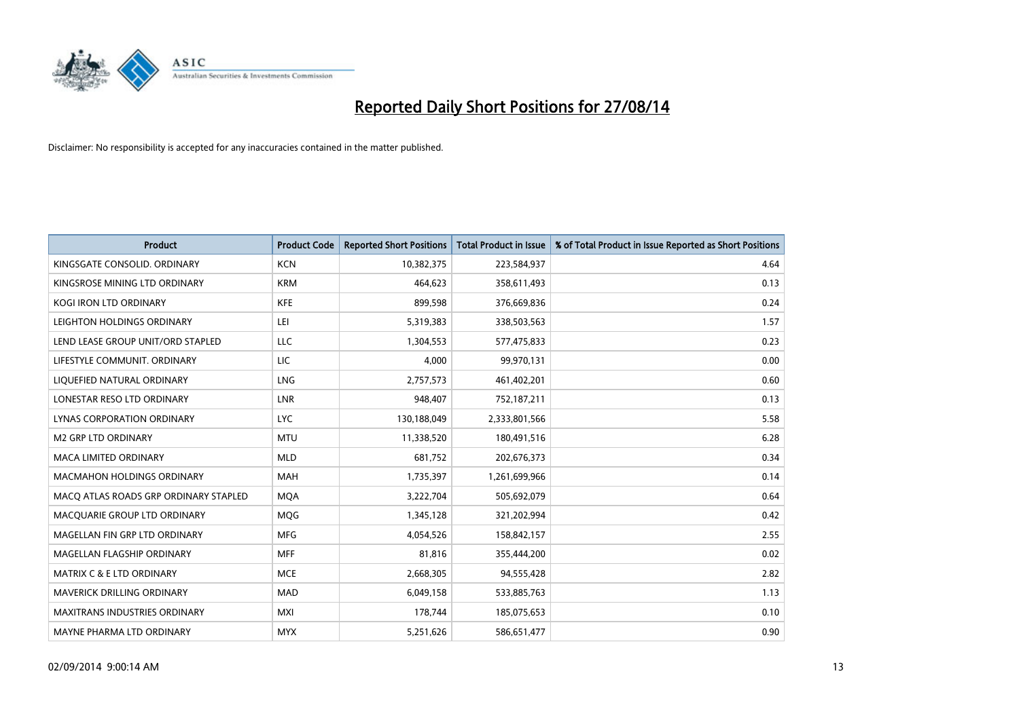

| <b>Product</b>                        | <b>Product Code</b> | <b>Reported Short Positions</b> | <b>Total Product in Issue</b> | % of Total Product in Issue Reported as Short Positions |
|---------------------------------------|---------------------|---------------------------------|-------------------------------|---------------------------------------------------------|
| KINGSGATE CONSOLID. ORDINARY          | <b>KCN</b>          | 10,382,375                      | 223,584,937                   | 4.64                                                    |
| KINGSROSE MINING LTD ORDINARY         | <b>KRM</b>          | 464,623                         | 358,611,493                   | 0.13                                                    |
| <b>KOGI IRON LTD ORDINARY</b>         | <b>KFE</b>          | 899,598                         | 376,669,836                   | 0.24                                                    |
| LEIGHTON HOLDINGS ORDINARY            | LEI                 | 5,319,383                       | 338,503,563                   | 1.57                                                    |
| LEND LEASE GROUP UNIT/ORD STAPLED     | LLC                 | 1,304,553                       | 577,475,833                   | 0.23                                                    |
| LIFESTYLE COMMUNIT, ORDINARY          | <b>LIC</b>          | 4,000                           | 99,970,131                    | 0.00                                                    |
| LIQUEFIED NATURAL ORDINARY            | <b>LNG</b>          | 2,757,573                       | 461,402,201                   | 0.60                                                    |
| LONESTAR RESO LTD ORDINARY            | <b>LNR</b>          | 948,407                         | 752,187,211                   | 0.13                                                    |
| LYNAS CORPORATION ORDINARY            | <b>LYC</b>          | 130,188,049                     | 2,333,801,566                 | 5.58                                                    |
| <b>M2 GRP LTD ORDINARY</b>            | <b>MTU</b>          | 11,338,520                      | 180,491,516                   | 6.28                                                    |
| <b>MACA LIMITED ORDINARY</b>          | <b>MLD</b>          | 681,752                         | 202,676,373                   | 0.34                                                    |
| MACMAHON HOLDINGS ORDINARY            | MAH                 | 1,735,397                       | 1,261,699,966                 | 0.14                                                    |
| MACO ATLAS ROADS GRP ORDINARY STAPLED | <b>MOA</b>          | 3,222,704                       | 505,692,079                   | 0.64                                                    |
| MACQUARIE GROUP LTD ORDINARY          | <b>MQG</b>          | 1,345,128                       | 321,202,994                   | 0.42                                                    |
| MAGELLAN FIN GRP LTD ORDINARY         | <b>MFG</b>          | 4,054,526                       | 158,842,157                   | 2.55                                                    |
| MAGELLAN FLAGSHIP ORDINARY            | <b>MFF</b>          | 81,816                          | 355,444,200                   | 0.02                                                    |
| <b>MATRIX C &amp; E LTD ORDINARY</b>  | <b>MCE</b>          | 2,668,305                       | 94,555,428                    | 2.82                                                    |
| MAVERICK DRILLING ORDINARY            | <b>MAD</b>          | 6,049,158                       | 533,885,763                   | 1.13                                                    |
| <b>MAXITRANS INDUSTRIES ORDINARY</b>  | <b>MXI</b>          | 178,744                         | 185,075,653                   | 0.10                                                    |
| MAYNE PHARMA LTD ORDINARY             | <b>MYX</b>          | 5,251,626                       | 586,651,477                   | 0.90                                                    |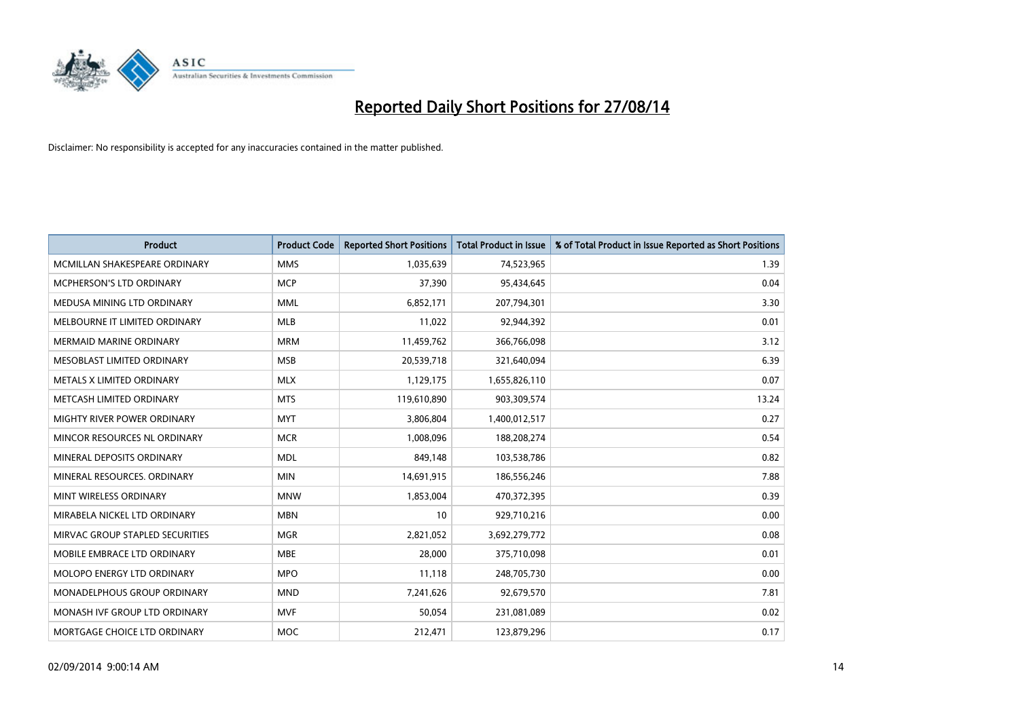

| <b>Product</b>                  | <b>Product Code</b> | <b>Reported Short Positions</b> | <b>Total Product in Issue</b> | % of Total Product in Issue Reported as Short Positions |
|---------------------------------|---------------------|---------------------------------|-------------------------------|---------------------------------------------------------|
| MCMILLAN SHAKESPEARE ORDINARY   | <b>MMS</b>          | 1,035,639                       | 74,523,965                    | 1.39                                                    |
| MCPHERSON'S LTD ORDINARY        | <b>MCP</b>          | 37,390                          | 95,434,645                    | 0.04                                                    |
| MEDUSA MINING LTD ORDINARY      | <b>MML</b>          | 6,852,171                       | 207,794,301                   | 3.30                                                    |
| MELBOURNE IT LIMITED ORDINARY   | <b>MLB</b>          | 11,022                          | 92,944,392                    | 0.01                                                    |
| <b>MERMAID MARINE ORDINARY</b>  | <b>MRM</b>          | 11,459,762                      | 366,766,098                   | 3.12                                                    |
| MESOBLAST LIMITED ORDINARY      | <b>MSB</b>          | 20,539,718                      | 321,640,094                   | 6.39                                                    |
| METALS X LIMITED ORDINARY       | <b>MLX</b>          | 1,129,175                       | 1,655,826,110                 | 0.07                                                    |
| METCASH LIMITED ORDINARY        | <b>MTS</b>          | 119,610,890                     | 903,309,574                   | 13.24                                                   |
| MIGHTY RIVER POWER ORDINARY     | <b>MYT</b>          | 3,806,804                       | 1,400,012,517                 | 0.27                                                    |
| MINCOR RESOURCES NL ORDINARY    | <b>MCR</b>          | 1,008,096                       | 188,208,274                   | 0.54                                                    |
| MINERAL DEPOSITS ORDINARY       | <b>MDL</b>          | 849,148                         | 103,538,786                   | 0.82                                                    |
| MINERAL RESOURCES, ORDINARY     | <b>MIN</b>          | 14,691,915                      | 186,556,246                   | 7.88                                                    |
| MINT WIRELESS ORDINARY          | <b>MNW</b>          | 1,853,004                       | 470,372,395                   | 0.39                                                    |
| MIRABELA NICKEL LTD ORDINARY    | <b>MBN</b>          | 10                              | 929,710,216                   | 0.00                                                    |
| MIRVAC GROUP STAPLED SECURITIES | <b>MGR</b>          | 2,821,052                       | 3,692,279,772                 | 0.08                                                    |
| MOBILE EMBRACE LTD ORDINARY     | <b>MBE</b>          | 28,000                          | 375,710,098                   | 0.01                                                    |
| MOLOPO ENERGY LTD ORDINARY      | <b>MPO</b>          | 11,118                          | 248,705,730                   | 0.00                                                    |
| MONADELPHOUS GROUP ORDINARY     | <b>MND</b>          | 7,241,626                       | 92,679,570                    | 7.81                                                    |
| MONASH IVF GROUP LTD ORDINARY   | <b>MVF</b>          | 50,054                          | 231,081,089                   | 0.02                                                    |
| MORTGAGE CHOICE LTD ORDINARY    | <b>MOC</b>          | 212,471                         | 123,879,296                   | 0.17                                                    |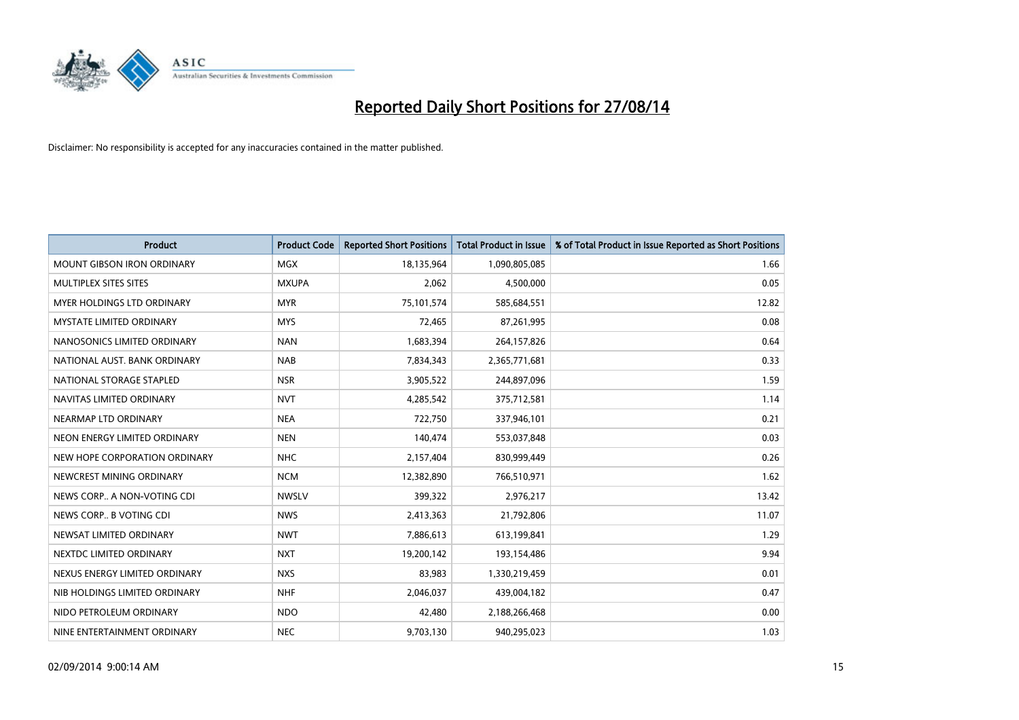

| <b>Product</b>                    | <b>Product Code</b> | <b>Reported Short Positions</b> | <b>Total Product in Issue</b> | % of Total Product in Issue Reported as Short Positions |
|-----------------------------------|---------------------|---------------------------------|-------------------------------|---------------------------------------------------------|
| <b>MOUNT GIBSON IRON ORDINARY</b> | MGX                 | 18,135,964                      | 1,090,805,085                 | 1.66                                                    |
| MULTIPLEX SITES SITES             | <b>MXUPA</b>        | 2,062                           | 4,500,000                     | 0.05                                                    |
| MYER HOLDINGS LTD ORDINARY        | <b>MYR</b>          | 75,101,574                      | 585,684,551                   | 12.82                                                   |
| <b>MYSTATE LIMITED ORDINARY</b>   | <b>MYS</b>          | 72,465                          | 87,261,995                    | 0.08                                                    |
| NANOSONICS LIMITED ORDINARY       | <b>NAN</b>          | 1,683,394                       | 264,157,826                   | 0.64                                                    |
| NATIONAL AUST, BANK ORDINARY      | <b>NAB</b>          | 7,834,343                       | 2,365,771,681                 | 0.33                                                    |
| NATIONAL STORAGE STAPLED          | <b>NSR</b>          | 3,905,522                       | 244,897,096                   | 1.59                                                    |
| NAVITAS LIMITED ORDINARY          | <b>NVT</b>          | 4,285,542                       | 375,712,581                   | 1.14                                                    |
| NEARMAP LTD ORDINARY              | <b>NEA</b>          | 722,750                         | 337,946,101                   | 0.21                                                    |
| NEON ENERGY LIMITED ORDINARY      | <b>NEN</b>          | 140,474                         | 553,037,848                   | 0.03                                                    |
| NEW HOPE CORPORATION ORDINARY     | <b>NHC</b>          | 2,157,404                       | 830,999,449                   | 0.26                                                    |
| NEWCREST MINING ORDINARY          | <b>NCM</b>          | 12,382,890                      | 766,510,971                   | 1.62                                                    |
| NEWS CORP A NON-VOTING CDI        | <b>NWSLV</b>        | 399,322                         | 2,976,217                     | 13.42                                                   |
| NEWS CORP B VOTING CDI            | <b>NWS</b>          | 2,413,363                       | 21,792,806                    | 11.07                                                   |
| NEWSAT LIMITED ORDINARY           | <b>NWT</b>          | 7,886,613                       | 613,199,841                   | 1.29                                                    |
| NEXTDC LIMITED ORDINARY           | <b>NXT</b>          | 19,200,142                      | 193,154,486                   | 9.94                                                    |
| NEXUS ENERGY LIMITED ORDINARY     | <b>NXS</b>          | 83,983                          | 1,330,219,459                 | 0.01                                                    |
| NIB HOLDINGS LIMITED ORDINARY     | <b>NHF</b>          | 2,046,037                       | 439,004,182                   | 0.47                                                    |
| NIDO PETROLEUM ORDINARY           | <b>NDO</b>          | 42,480                          | 2,188,266,468                 | 0.00                                                    |
| NINE ENTERTAINMENT ORDINARY       | <b>NEC</b>          | 9,703,130                       | 940,295,023                   | 1.03                                                    |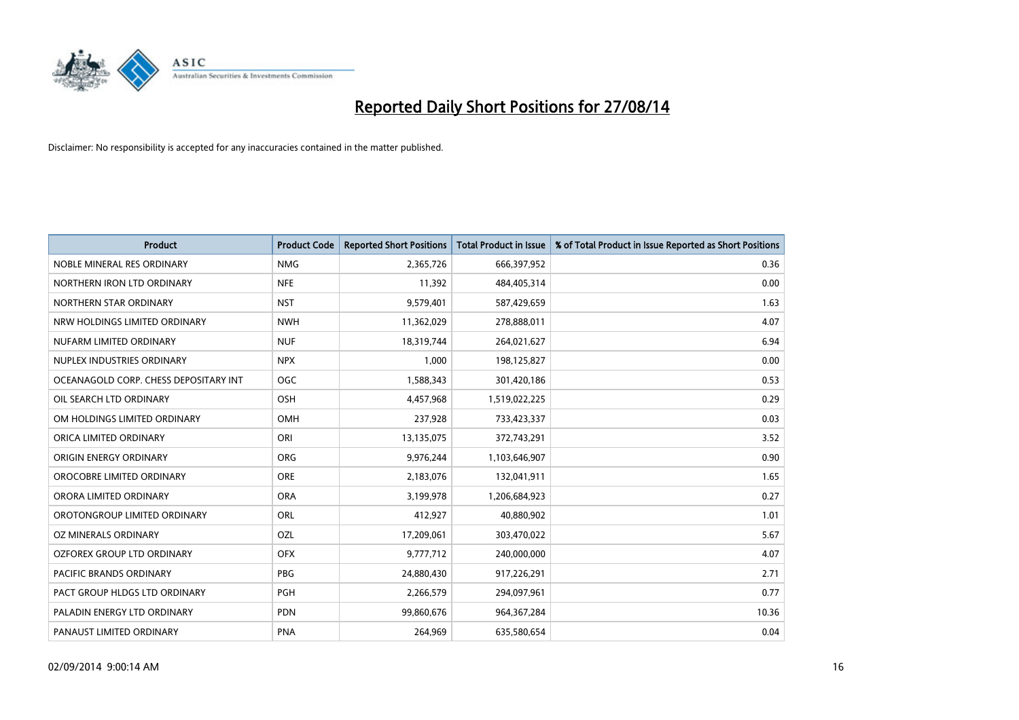

| <b>Product</b>                        | <b>Product Code</b> | <b>Reported Short Positions</b> | <b>Total Product in Issue</b> | % of Total Product in Issue Reported as Short Positions |
|---------------------------------------|---------------------|---------------------------------|-------------------------------|---------------------------------------------------------|
| NOBLE MINERAL RES ORDINARY            | <b>NMG</b>          | 2,365,726                       | 666,397,952                   | 0.36                                                    |
| NORTHERN IRON LTD ORDINARY            | <b>NFE</b>          | 11,392                          | 484,405,314                   | 0.00                                                    |
| NORTHERN STAR ORDINARY                | <b>NST</b>          | 9,579,401                       | 587,429,659                   | 1.63                                                    |
| NRW HOLDINGS LIMITED ORDINARY         | <b>NWH</b>          | 11,362,029                      | 278,888,011                   | 4.07                                                    |
| NUFARM LIMITED ORDINARY               | <b>NUF</b>          | 18,319,744                      | 264,021,627                   | 6.94                                                    |
| NUPLEX INDUSTRIES ORDINARY            | <b>NPX</b>          | 1,000                           | 198,125,827                   | 0.00                                                    |
| OCEANAGOLD CORP. CHESS DEPOSITARY INT | <b>OGC</b>          | 1,588,343                       | 301,420,186                   | 0.53                                                    |
| OIL SEARCH LTD ORDINARY               | OSH                 | 4,457,968                       | 1,519,022,225                 | 0.29                                                    |
| OM HOLDINGS LIMITED ORDINARY          | <b>OMH</b>          | 237,928                         | 733,423,337                   | 0.03                                                    |
| ORICA LIMITED ORDINARY                | ORI                 | 13,135,075                      | 372,743,291                   | 3.52                                                    |
| ORIGIN ENERGY ORDINARY                | <b>ORG</b>          | 9,976,244                       | 1,103,646,907                 | 0.90                                                    |
| OROCOBRE LIMITED ORDINARY             | <b>ORE</b>          | 2,183,076                       | 132,041,911                   | 1.65                                                    |
| ORORA LIMITED ORDINARY                | <b>ORA</b>          | 3,199,978                       | 1,206,684,923                 | 0.27                                                    |
| OROTONGROUP LIMITED ORDINARY          | ORL                 | 412,927                         | 40,880,902                    | 1.01                                                    |
| <b>OZ MINERALS ORDINARY</b>           | OZL                 | 17,209,061                      | 303,470,022                   | 5.67                                                    |
| OZFOREX GROUP LTD ORDINARY            | <b>OFX</b>          | 9,777,712                       | 240,000,000                   | 4.07                                                    |
| PACIFIC BRANDS ORDINARY               | PBG                 | 24,880,430                      | 917,226,291                   | 2.71                                                    |
| PACT GROUP HLDGS LTD ORDINARY         | PGH                 | 2,266,579                       | 294,097,961                   | 0.77                                                    |
| PALADIN ENERGY LTD ORDINARY           | <b>PDN</b>          | 99,860,676                      | 964, 367, 284                 | 10.36                                                   |
| PANAUST LIMITED ORDINARY              | <b>PNA</b>          | 264,969                         | 635,580,654                   | 0.04                                                    |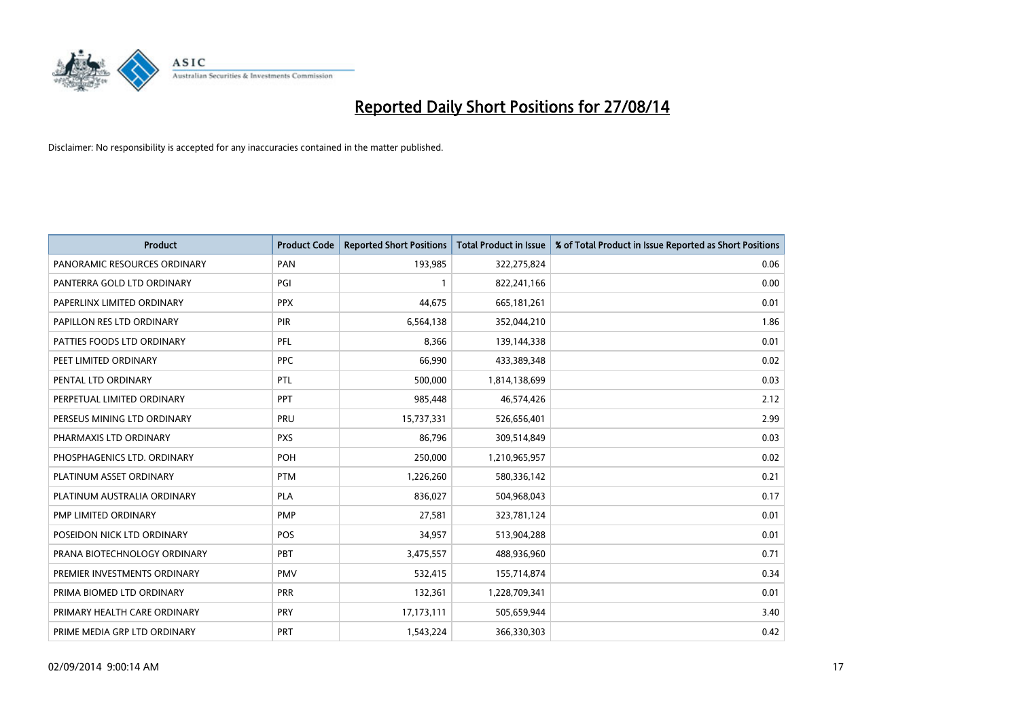

| <b>Product</b>               | <b>Product Code</b> | <b>Reported Short Positions</b> | <b>Total Product in Issue</b> | % of Total Product in Issue Reported as Short Positions |
|------------------------------|---------------------|---------------------------------|-------------------------------|---------------------------------------------------------|
| PANORAMIC RESOURCES ORDINARY | PAN                 | 193,985                         | 322,275,824                   | 0.06                                                    |
| PANTERRA GOLD LTD ORDINARY   | PGI                 |                                 | 822,241,166                   | 0.00                                                    |
| PAPERLINX LIMITED ORDINARY   | <b>PPX</b>          | 44,675                          | 665,181,261                   | 0.01                                                    |
| PAPILLON RES LTD ORDINARY    | <b>PIR</b>          | 6,564,138                       | 352,044,210                   | 1.86                                                    |
| PATTIES FOODS LTD ORDINARY   | PFL                 | 8,366                           | 139,144,338                   | 0.01                                                    |
| PEET LIMITED ORDINARY        | <b>PPC</b>          | 66,990                          | 433,389,348                   | 0.02                                                    |
| PENTAL LTD ORDINARY          | <b>PTL</b>          | 500,000                         | 1,814,138,699                 | 0.03                                                    |
| PERPETUAL LIMITED ORDINARY   | PPT                 | 985,448                         | 46,574,426                    | 2.12                                                    |
| PERSEUS MINING LTD ORDINARY  | PRU                 | 15,737,331                      | 526,656,401                   | 2.99                                                    |
| PHARMAXIS LTD ORDINARY       | <b>PXS</b>          | 86,796                          | 309,514,849                   | 0.03                                                    |
| PHOSPHAGENICS LTD. ORDINARY  | POH                 | 250,000                         | 1,210,965,957                 | 0.02                                                    |
| PLATINUM ASSET ORDINARY      | <b>PTM</b>          | 1,226,260                       | 580,336,142                   | 0.21                                                    |
| PLATINUM AUSTRALIA ORDINARY  | <b>PLA</b>          | 836,027                         | 504,968,043                   | 0.17                                                    |
| PMP LIMITED ORDINARY         | <b>PMP</b>          | 27,581                          | 323,781,124                   | 0.01                                                    |
| POSEIDON NICK LTD ORDINARY   | <b>POS</b>          | 34,957                          | 513,904,288                   | 0.01                                                    |
| PRANA BIOTECHNOLOGY ORDINARY | <b>PBT</b>          | 3,475,557                       | 488,936,960                   | 0.71                                                    |
| PREMIER INVESTMENTS ORDINARY | <b>PMV</b>          | 532,415                         | 155,714,874                   | 0.34                                                    |
| PRIMA BIOMED LTD ORDINARY    | <b>PRR</b>          | 132,361                         | 1,228,709,341                 | 0.01                                                    |
| PRIMARY HEALTH CARE ORDINARY | <b>PRY</b>          | 17,173,111                      | 505,659,944                   | 3.40                                                    |
| PRIME MEDIA GRP LTD ORDINARY | <b>PRT</b>          | 1,543,224                       | 366,330,303                   | 0.42                                                    |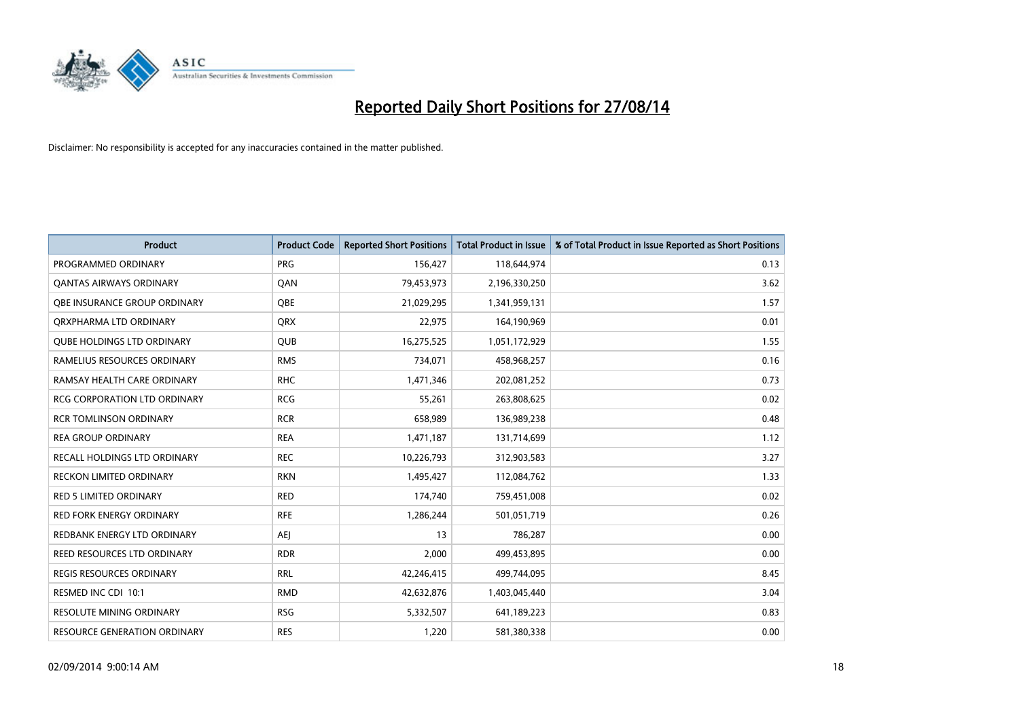

| <b>Product</b>                      | <b>Product Code</b> | <b>Reported Short Positions</b> | <b>Total Product in Issue</b> | % of Total Product in Issue Reported as Short Positions |
|-------------------------------------|---------------------|---------------------------------|-------------------------------|---------------------------------------------------------|
| PROGRAMMED ORDINARY                 | <b>PRG</b>          | 156,427                         | 118,644,974                   | 0.13                                                    |
| <b>QANTAS AIRWAYS ORDINARY</b>      | QAN                 | 79,453,973                      | 2,196,330,250                 | 3.62                                                    |
| <b>OBE INSURANCE GROUP ORDINARY</b> | <b>OBE</b>          | 21,029,295                      | 1,341,959,131                 | 1.57                                                    |
| ORXPHARMA LTD ORDINARY              | <b>QRX</b>          | 22,975                          | 164,190,969                   | 0.01                                                    |
| <b>QUBE HOLDINGS LTD ORDINARY</b>   | <b>QUB</b>          | 16,275,525                      | 1,051,172,929                 | 1.55                                                    |
| RAMELIUS RESOURCES ORDINARY         | <b>RMS</b>          | 734,071                         | 458,968,257                   | 0.16                                                    |
| RAMSAY HEALTH CARE ORDINARY         | <b>RHC</b>          | 1,471,346                       | 202,081,252                   | 0.73                                                    |
| RCG CORPORATION LTD ORDINARY        | <b>RCG</b>          | 55,261                          | 263,808,625                   | 0.02                                                    |
| <b>RCR TOMLINSON ORDINARY</b>       | <b>RCR</b>          | 658,989                         | 136,989,238                   | 0.48                                                    |
| <b>REA GROUP ORDINARY</b>           | <b>REA</b>          | 1,471,187                       | 131,714,699                   | 1.12                                                    |
| RECALL HOLDINGS LTD ORDINARY        | <b>REC</b>          | 10,226,793                      | 312,903,583                   | 3.27                                                    |
| <b>RECKON LIMITED ORDINARY</b>      | <b>RKN</b>          | 1,495,427                       | 112,084,762                   | 1.33                                                    |
| <b>RED 5 LIMITED ORDINARY</b>       | <b>RED</b>          | 174,740                         | 759,451,008                   | 0.02                                                    |
| <b>RED FORK ENERGY ORDINARY</b>     | <b>RFE</b>          | 1,286,244                       | 501,051,719                   | 0.26                                                    |
| REDBANK ENERGY LTD ORDINARY         | <b>AEJ</b>          | 13                              | 786,287                       | 0.00                                                    |
| REED RESOURCES LTD ORDINARY         | <b>RDR</b>          | 2,000                           | 499,453,895                   | 0.00                                                    |
| <b>REGIS RESOURCES ORDINARY</b>     | <b>RRL</b>          | 42,246,415                      | 499,744,095                   | 8.45                                                    |
| RESMED INC CDI 10:1                 | <b>RMD</b>          | 42,632,876                      | 1,403,045,440                 | 3.04                                                    |
| <b>RESOLUTE MINING ORDINARY</b>     | <b>RSG</b>          | 5,332,507                       | 641,189,223                   | 0.83                                                    |
| RESOURCE GENERATION ORDINARY        | <b>RES</b>          | 1,220                           | 581,380,338                   | 0.00                                                    |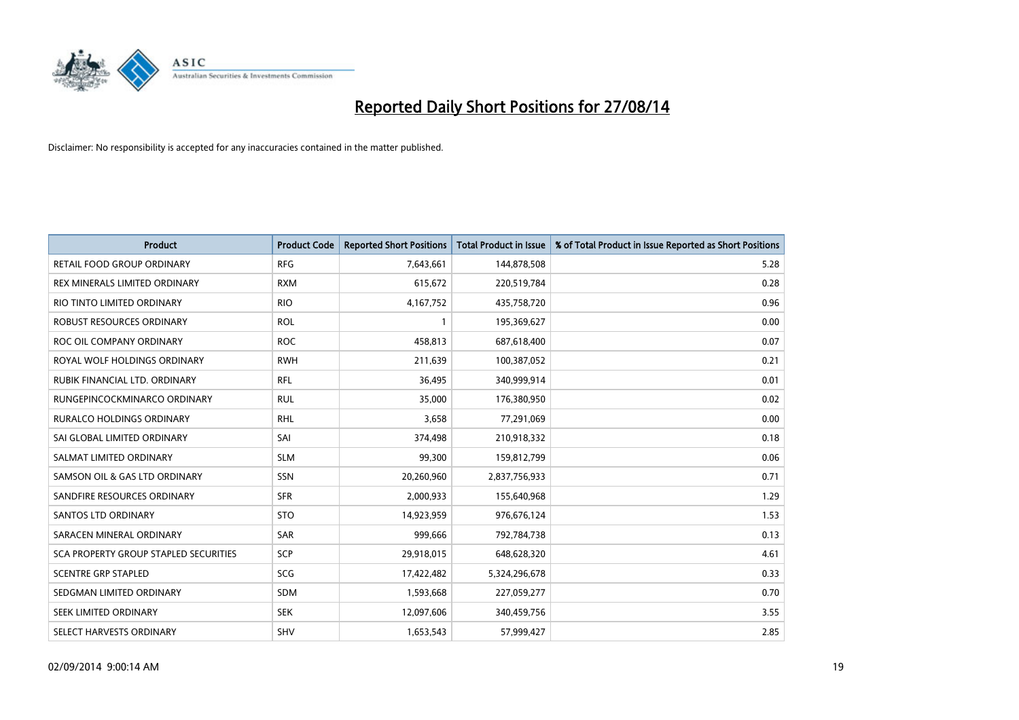

| <b>Product</b>                               | <b>Product Code</b> | <b>Reported Short Positions</b> | <b>Total Product in Issue</b> | % of Total Product in Issue Reported as Short Positions |
|----------------------------------------------|---------------------|---------------------------------|-------------------------------|---------------------------------------------------------|
| <b>RETAIL FOOD GROUP ORDINARY</b>            | <b>RFG</b>          | 7,643,661                       | 144,878,508                   | 5.28                                                    |
| <b>REX MINERALS LIMITED ORDINARY</b>         | <b>RXM</b>          | 615,672                         | 220,519,784                   | 0.28                                                    |
| RIO TINTO LIMITED ORDINARY                   | <b>RIO</b>          | 4,167,752                       | 435,758,720                   | 0.96                                                    |
| ROBUST RESOURCES ORDINARY                    | <b>ROL</b>          | 1                               | 195,369,627                   | 0.00                                                    |
| ROC OIL COMPANY ORDINARY                     | <b>ROC</b>          | 458,813                         | 687,618,400                   | 0.07                                                    |
| ROYAL WOLF HOLDINGS ORDINARY                 | <b>RWH</b>          | 211,639                         | 100,387,052                   | 0.21                                                    |
| RUBIK FINANCIAL LTD. ORDINARY                | RFL                 | 36,495                          | 340,999,914                   | 0.01                                                    |
| RUNGEPINCOCKMINARCO ORDINARY                 | <b>RUL</b>          | 35,000                          | 176,380,950                   | 0.02                                                    |
| <b>RURALCO HOLDINGS ORDINARY</b>             | <b>RHL</b>          | 3,658                           | 77,291,069                    | 0.00                                                    |
| SAI GLOBAL LIMITED ORDINARY                  | SAI                 | 374,498                         | 210,918,332                   | 0.18                                                    |
| SALMAT LIMITED ORDINARY                      | <b>SLM</b>          | 99,300                          | 159,812,799                   | 0.06                                                    |
| SAMSON OIL & GAS LTD ORDINARY                | SSN                 | 20,260,960                      | 2,837,756,933                 | 0.71                                                    |
| SANDFIRE RESOURCES ORDINARY                  | <b>SFR</b>          | 2,000,933                       | 155,640,968                   | 1.29                                                    |
| SANTOS LTD ORDINARY                          | <b>STO</b>          | 14,923,959                      | 976,676,124                   | 1.53                                                    |
| SARACEN MINERAL ORDINARY                     | SAR                 | 999,666                         | 792,784,738                   | 0.13                                                    |
| <b>SCA PROPERTY GROUP STAPLED SECURITIES</b> | <b>SCP</b>          | 29,918,015                      | 648,628,320                   | 4.61                                                    |
| <b>SCENTRE GRP STAPLED</b>                   | SCG                 | 17,422,482                      | 5,324,296,678                 | 0.33                                                    |
| SEDGMAN LIMITED ORDINARY                     | SDM                 | 1,593,668                       | 227,059,277                   | 0.70                                                    |
| SEEK LIMITED ORDINARY                        | <b>SEK</b>          | 12,097,606                      | 340,459,756                   | 3.55                                                    |
| SELECT HARVESTS ORDINARY                     | SHV                 | 1,653,543                       | 57,999,427                    | 2.85                                                    |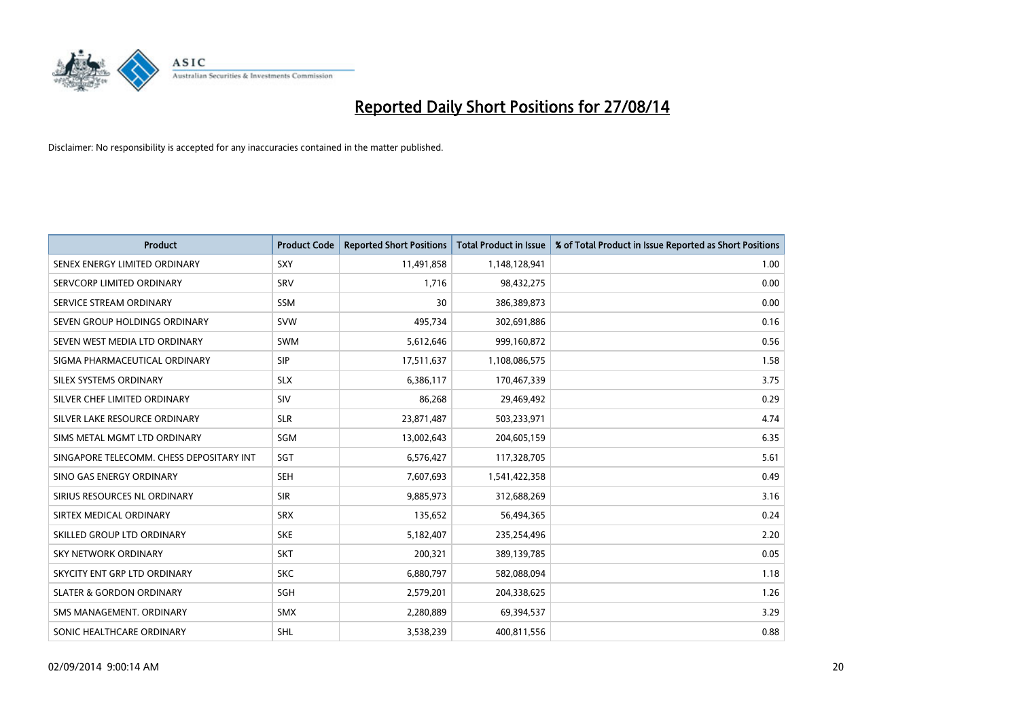

| <b>Product</b>                           | <b>Product Code</b> | <b>Reported Short Positions</b> | <b>Total Product in Issue</b> | % of Total Product in Issue Reported as Short Positions |
|------------------------------------------|---------------------|---------------------------------|-------------------------------|---------------------------------------------------------|
| SENEX ENERGY LIMITED ORDINARY            | SXY                 | 11,491,858                      | 1,148,128,941                 | 1.00                                                    |
| SERVCORP LIMITED ORDINARY                | SRV                 | 1,716                           | 98,432,275                    | 0.00                                                    |
| SERVICE STREAM ORDINARY                  | <b>SSM</b>          | 30                              | 386,389,873                   | 0.00                                                    |
| SEVEN GROUP HOLDINGS ORDINARY            | <b>SVW</b>          | 495,734                         | 302,691,886                   | 0.16                                                    |
| SEVEN WEST MEDIA LTD ORDINARY            | <b>SWM</b>          | 5,612,646                       | 999,160,872                   | 0.56                                                    |
| SIGMA PHARMACEUTICAL ORDINARY            | <b>SIP</b>          | 17,511,637                      | 1,108,086,575                 | 1.58                                                    |
| SILEX SYSTEMS ORDINARY                   | <b>SLX</b>          | 6,386,117                       | 170,467,339                   | 3.75                                                    |
| SILVER CHEF LIMITED ORDINARY             | SIV                 | 86,268                          | 29,469,492                    | 0.29                                                    |
| SILVER LAKE RESOURCE ORDINARY            | <b>SLR</b>          | 23,871,487                      | 503,233,971                   | 4.74                                                    |
| SIMS METAL MGMT LTD ORDINARY             | <b>SGM</b>          | 13,002,643                      | 204,605,159                   | 6.35                                                    |
| SINGAPORE TELECOMM. CHESS DEPOSITARY INT | SGT                 | 6,576,427                       | 117,328,705                   | 5.61                                                    |
| SINO GAS ENERGY ORDINARY                 | <b>SEH</b>          | 7,607,693                       | 1,541,422,358                 | 0.49                                                    |
| SIRIUS RESOURCES NL ORDINARY             | <b>SIR</b>          | 9,885,973                       | 312,688,269                   | 3.16                                                    |
| SIRTEX MEDICAL ORDINARY                  | <b>SRX</b>          | 135,652                         | 56,494,365                    | 0.24                                                    |
| SKILLED GROUP LTD ORDINARY               | <b>SKE</b>          | 5,182,407                       | 235,254,496                   | 2.20                                                    |
| SKY NETWORK ORDINARY                     | <b>SKT</b>          | 200,321                         | 389,139,785                   | 0.05                                                    |
| SKYCITY ENT GRP LTD ORDINARY             | <b>SKC</b>          | 6,880,797                       | 582,088,094                   | 1.18                                                    |
| <b>SLATER &amp; GORDON ORDINARY</b>      | SGH                 | 2,579,201                       | 204,338,625                   | 1.26                                                    |
| SMS MANAGEMENT. ORDINARY                 | <b>SMX</b>          | 2,280,889                       | 69,394,537                    | 3.29                                                    |
| SONIC HEALTHCARE ORDINARY                | SHL                 | 3,538,239                       | 400,811,556                   | 0.88                                                    |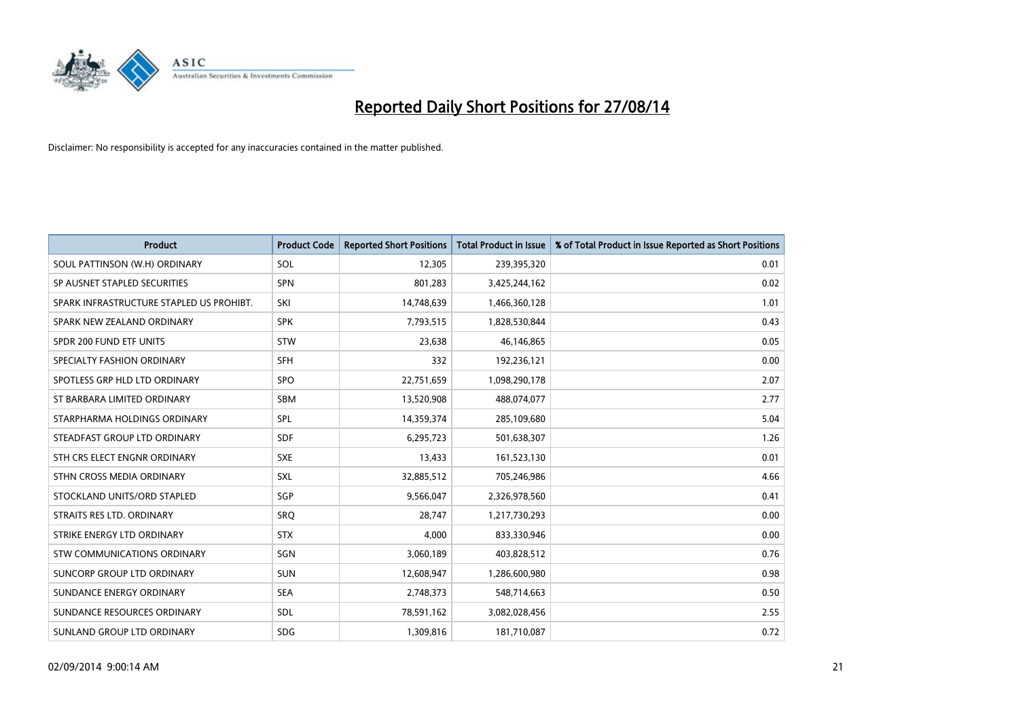

| <b>Product</b>                           | <b>Product Code</b> | <b>Reported Short Positions</b> | <b>Total Product in Issue</b> | % of Total Product in Issue Reported as Short Positions |
|------------------------------------------|---------------------|---------------------------------|-------------------------------|---------------------------------------------------------|
| SOUL PATTINSON (W.H) ORDINARY            | SOL                 | 12,305                          | 239,395,320                   | 0.01                                                    |
| SP AUSNET STAPLED SECURITIES             | <b>SPN</b>          | 801,283                         | 3,425,244,162                 | 0.02                                                    |
| SPARK INFRASTRUCTURE STAPLED US PROHIBT. | SKI                 | 14,748,639                      | 1,466,360,128                 | 1.01                                                    |
| SPARK NEW ZEALAND ORDINARY               | <b>SPK</b>          | 7,793,515                       | 1,828,530,844                 | 0.43                                                    |
| SPDR 200 FUND ETF UNITS                  | <b>STW</b>          | 23,638                          | 46,146,865                    | 0.05                                                    |
| SPECIALTY FASHION ORDINARY               | <b>SFH</b>          | 332                             | 192,236,121                   | 0.00                                                    |
| SPOTLESS GRP HLD LTD ORDINARY            | <b>SPO</b>          | 22,751,659                      | 1,098,290,178                 | 2.07                                                    |
| ST BARBARA LIMITED ORDINARY              | SBM                 | 13,520,908                      | 488,074,077                   | 2.77                                                    |
| STARPHARMA HOLDINGS ORDINARY             | SPL                 | 14,359,374                      | 285,109,680                   | 5.04                                                    |
| STEADFAST GROUP LTD ORDINARY             | <b>SDF</b>          | 6,295,723                       | 501,638,307                   | 1.26                                                    |
| STH CRS ELECT ENGNR ORDINARY             | <b>SXE</b>          | 13,433                          | 161,523,130                   | 0.01                                                    |
| STHN CROSS MEDIA ORDINARY                | <b>SXL</b>          | 32,885,512                      | 705,246,986                   | 4.66                                                    |
| STOCKLAND UNITS/ORD STAPLED              | SGP                 | 9,566,047                       | 2,326,978,560                 | 0.41                                                    |
| STRAITS RES LTD. ORDINARY                | SRO                 | 28,747                          | 1,217,730,293                 | 0.00                                                    |
| STRIKE ENERGY LTD ORDINARY               | <b>STX</b>          | 4,000                           | 833,330,946                   | 0.00                                                    |
| STW COMMUNICATIONS ORDINARY              | SGN                 | 3,060,189                       | 403,828,512                   | 0.76                                                    |
| SUNCORP GROUP LTD ORDINARY               | <b>SUN</b>          | 12,608,947                      | 1,286,600,980                 | 0.98                                                    |
| SUNDANCE ENERGY ORDINARY                 | <b>SEA</b>          | 2,748,373                       | 548,714,663                   | 0.50                                                    |
| SUNDANCE RESOURCES ORDINARY              | SDL                 | 78,591,162                      | 3,082,028,456                 | 2.55                                                    |
| SUNLAND GROUP LTD ORDINARY               | <b>SDG</b>          | 1,309,816                       | 181,710,087                   | 0.72                                                    |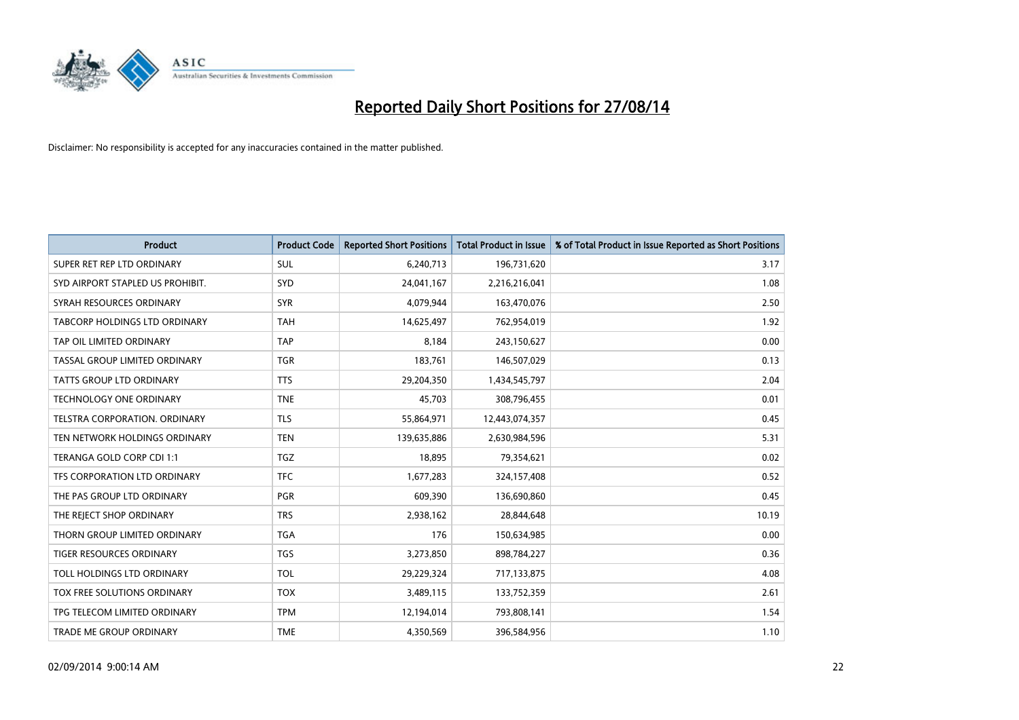

| <b>Product</b>                   | <b>Product Code</b> | <b>Reported Short Positions</b> | <b>Total Product in Issue</b> | % of Total Product in Issue Reported as Short Positions |
|----------------------------------|---------------------|---------------------------------|-------------------------------|---------------------------------------------------------|
| SUPER RET REP LTD ORDINARY       | <b>SUL</b>          | 6,240,713                       | 196,731,620                   | 3.17                                                    |
| SYD AIRPORT STAPLED US PROHIBIT. | <b>SYD</b>          | 24,041,167                      | 2,216,216,041                 | 1.08                                                    |
| SYRAH RESOURCES ORDINARY         | <b>SYR</b>          | 4,079,944                       | 163,470,076                   | 2.50                                                    |
| TABCORP HOLDINGS LTD ORDINARY    | <b>TAH</b>          | 14,625,497                      | 762,954,019                   | 1.92                                                    |
| TAP OIL LIMITED ORDINARY         | <b>TAP</b>          | 8,184                           | 243,150,627                   | 0.00                                                    |
| TASSAL GROUP LIMITED ORDINARY    | <b>TGR</b>          | 183,761                         | 146,507,029                   | 0.13                                                    |
| TATTS GROUP LTD ORDINARY         | <b>TTS</b>          | 29,204,350                      | 1,434,545,797                 | 2.04                                                    |
| TECHNOLOGY ONE ORDINARY          | <b>TNE</b>          | 45,703                          | 308,796,455                   | 0.01                                                    |
| TELSTRA CORPORATION, ORDINARY    | <b>TLS</b>          | 55,864,971                      | 12,443,074,357                | 0.45                                                    |
| TEN NETWORK HOLDINGS ORDINARY    | <b>TEN</b>          | 139,635,886                     | 2,630,984,596                 | 5.31                                                    |
| TERANGA GOLD CORP CDI 1:1        | TGZ                 | 18,895                          | 79,354,621                    | 0.02                                                    |
| TFS CORPORATION LTD ORDINARY     | <b>TFC</b>          | 1,677,283                       | 324,157,408                   | 0.52                                                    |
| THE PAS GROUP LTD ORDINARY       | <b>PGR</b>          | 609,390                         | 136,690,860                   | 0.45                                                    |
| THE REJECT SHOP ORDINARY         | <b>TRS</b>          | 2,938,162                       | 28,844,648                    | 10.19                                                   |
| THORN GROUP LIMITED ORDINARY     | <b>TGA</b>          | 176                             | 150,634,985                   | 0.00                                                    |
| TIGER RESOURCES ORDINARY         | <b>TGS</b>          | 3,273,850                       | 898,784,227                   | 0.36                                                    |
| TOLL HOLDINGS LTD ORDINARY       | <b>TOL</b>          | 29,229,324                      | 717,133,875                   | 4.08                                                    |
| TOX FREE SOLUTIONS ORDINARY      | <b>TOX</b>          | 3,489,115                       | 133,752,359                   | 2.61                                                    |
| TPG TELECOM LIMITED ORDINARY     | <b>TPM</b>          | 12,194,014                      | 793,808,141                   | 1.54                                                    |
| TRADE ME GROUP ORDINARY          | <b>TME</b>          | 4,350,569                       | 396,584,956                   | 1.10                                                    |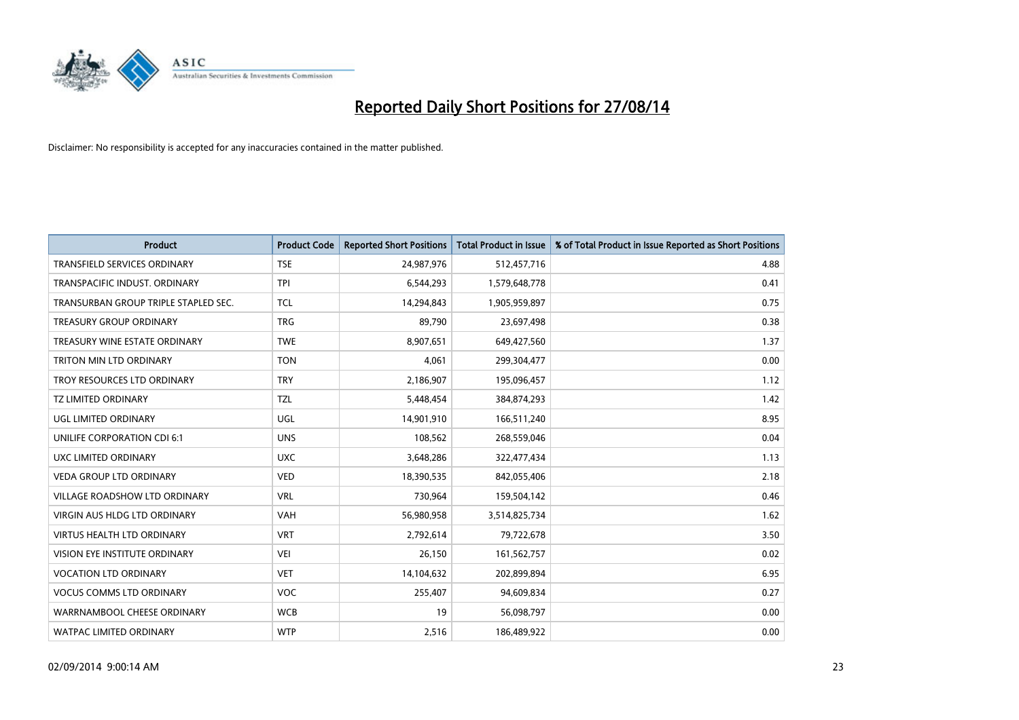

| Product                              | <b>Product Code</b> | <b>Reported Short Positions</b> | <b>Total Product in Issue</b> | % of Total Product in Issue Reported as Short Positions |
|--------------------------------------|---------------------|---------------------------------|-------------------------------|---------------------------------------------------------|
| <b>TRANSFIELD SERVICES ORDINARY</b>  | <b>TSE</b>          | 24,987,976                      | 512,457,716                   | 4.88                                                    |
| TRANSPACIFIC INDUST. ORDINARY        | <b>TPI</b>          | 6,544,293                       | 1,579,648,778                 | 0.41                                                    |
| TRANSURBAN GROUP TRIPLE STAPLED SEC. | <b>TCL</b>          | 14,294,843                      | 1,905,959,897                 | 0.75                                                    |
| TREASURY GROUP ORDINARY              | <b>TRG</b>          | 89,790                          | 23,697,498                    | 0.38                                                    |
| TREASURY WINE ESTATE ORDINARY        | <b>TWE</b>          | 8,907,651                       | 649,427,560                   | 1.37                                                    |
| TRITON MIN LTD ORDINARY              | <b>TON</b>          | 4,061                           | 299,304,477                   | 0.00                                                    |
| TROY RESOURCES LTD ORDINARY          | <b>TRY</b>          | 2,186,907                       | 195,096,457                   | 1.12                                                    |
| <b>TZ LIMITED ORDINARY</b>           | <b>TZL</b>          | 5,448,454                       | 384,874,293                   | 1.42                                                    |
| UGL LIMITED ORDINARY                 | UGL                 | 14,901,910                      | 166,511,240                   | 8.95                                                    |
| UNILIFE CORPORATION CDI 6:1          | <b>UNS</b>          | 108,562                         | 268,559,046                   | 0.04                                                    |
| UXC LIMITED ORDINARY                 | <b>UXC</b>          | 3,648,286                       | 322,477,434                   | 1.13                                                    |
| <b>VEDA GROUP LTD ORDINARY</b>       | <b>VED</b>          | 18,390,535                      | 842,055,406                   | 2.18                                                    |
| VILLAGE ROADSHOW LTD ORDINARY        | <b>VRL</b>          | 730,964                         | 159,504,142                   | 0.46                                                    |
| <b>VIRGIN AUS HLDG LTD ORDINARY</b>  | <b>VAH</b>          | 56,980,958                      | 3,514,825,734                 | 1.62                                                    |
| <b>VIRTUS HEALTH LTD ORDINARY</b>    | <b>VRT</b>          | 2,792,614                       | 79,722,678                    | 3.50                                                    |
| VISION EYE INSTITUTE ORDINARY        | <b>VEI</b>          | 26,150                          | 161,562,757                   | 0.02                                                    |
| <b>VOCATION LTD ORDINARY</b>         | <b>VET</b>          | 14,104,632                      | 202,899,894                   | 6.95                                                    |
| <b>VOCUS COMMS LTD ORDINARY</b>      | <b>VOC</b>          | 255,407                         | 94,609,834                    | 0.27                                                    |
| WARRNAMBOOL CHEESE ORDINARY          | <b>WCB</b>          | 19                              | 56,098,797                    | 0.00                                                    |
| WATPAC LIMITED ORDINARY              | <b>WTP</b>          | 2,516                           | 186,489,922                   | 0.00                                                    |